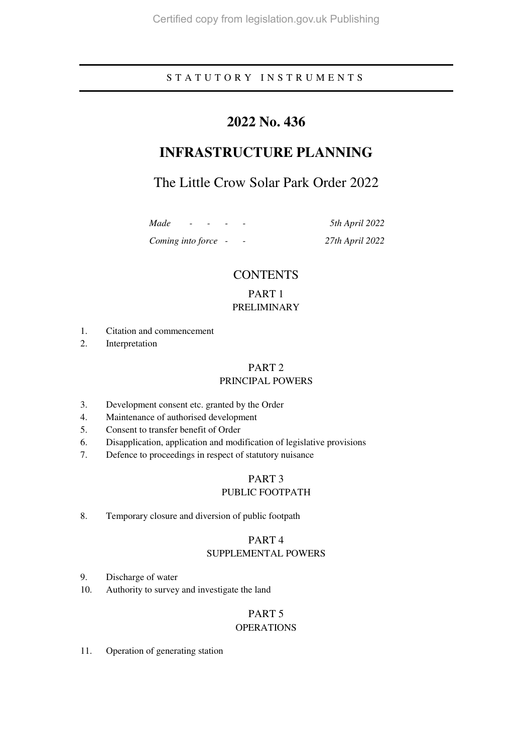### S T A T U T O R Y I N S T R U M E N T S

# **2022 No. 436**

# **INFRASTRUCTURE PLANNING**

# The Little Crow Solar Park Order 2022

*Coming into force - - 27th April 2022* 

*Made - - - - 5th April 2022* 

### **CONTENTS**

### PART 1 PRELIMINARY

- 1. Citation and commencement
- 2. Interpretation

### PART 2

### PRINCIPAL POWERS

- 3. Development consent etc. granted by the Order
- 4. Maintenance of authorised development
- 5. Consent to transfer benefit of Order
- 6. Disapplication, application and modification of legislative provisions
- 7. Defence to proceedings in respect of statutory nuisance

### PART 3 PUBLIC FOOTPATH

8. Temporary closure and diversion of public footpath

### PART 4

### SUPPLEMENTAL POWERS

- 9. Discharge of water
- 10. Authority to survey and investigate the land

### PART 5

### OPERATIONS

11. Operation of generating station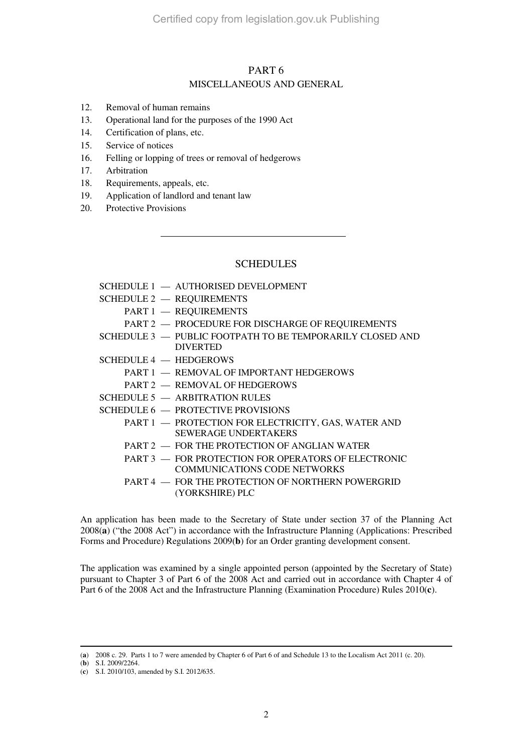### PART 6 MISCELLANEOUS AND GENERAL

- 12. Removal of human remains
- 13. Operational land for the purposes of the 1990 Act
- 14. Certification of plans, etc.
- 15. Service of notices
- 16. Felling or lopping of trees or removal of hedgerows
- 17. Arbitration
- 18. Requirements, appeals, etc.
- 19. Application of landlord and tenant law
- 20. Protective Provisions

### SCHEDULES

| SCHEDULE 1 - AUTHORISED DEVELOPMENT                                                        |  |
|--------------------------------------------------------------------------------------------|--|
| <b>SCHEDULE 2 - REQUIREMENTS</b>                                                           |  |
| PART 1 - REQUIREMENTS                                                                      |  |
| PART 2 - PROCEDURE FOR DISCHARGE OF REQUIREMENTS                                           |  |
| SCHEDULE 3 - PUBLIC FOOTPATH TO BE TEMPORARILY CLOSED AND<br><b>DIVERTED</b>               |  |
| $SCHEDULE 4$ - HEDGEROWS                                                                   |  |
| PART 1 - REMOVAL OF IMPORTANT HEDGEROWS                                                    |  |
| PART 2 - REMOVAL OF HEDGEROWS                                                              |  |
| $SCHEDULE 5$ $-$ ARBITRATION RULES                                                         |  |
| SCHEDULE 6 - PROTECTIVE PROVISIONS                                                         |  |
| PART 1 - PROTECTION FOR ELECTRICITY, GAS, WATER AND<br>SEWERAGE UNDERTAKERS                |  |
| PART 2 - FOR THE PROTECTION OF ANGLIAN WATER                                               |  |
| PART 3 - FOR PROTECTION FOR OPERATORS OF ELECTRONIC<br><b>COMMUNICATIONS CODE NETWORKS</b> |  |
| PART 4 - FOR THE PROTECTION OF NORTHERN POWERGRID<br>(YORKSHIRE) PLC                       |  |
|                                                                                            |  |

An application has been made to the Secretary of State under section 37 of the Planning Act 2008(**a**) ("the 2008 Act") in accordance with the Infrastructure Planning (Applications: Prescribed Forms and Procedure) Regulations 2009(**b**) for an Order granting development consent.

The application was examined by a single appointed person (appointed by the Secretary of State) pursuant to Chapter 3 of Part 6 of the 2008 Act and carried out in accordance with Chapter 4 of Part 6 of the 2008 Act and the Infrastructure Planning (Examination Procedure) Rules 2010(**c**).

<sup>-</sup>(**a**) 2008 c. 29. Parts 1 to 7 were amended by Chapter 6 of Part 6 of and Schedule 13 to the Localism Act 2011 (c. 20).

<sup>(</sup>**b**) S.I. 2009/2264.

<sup>(</sup>**c**) S.I. 2010/103, amended by S.I. 2012/635.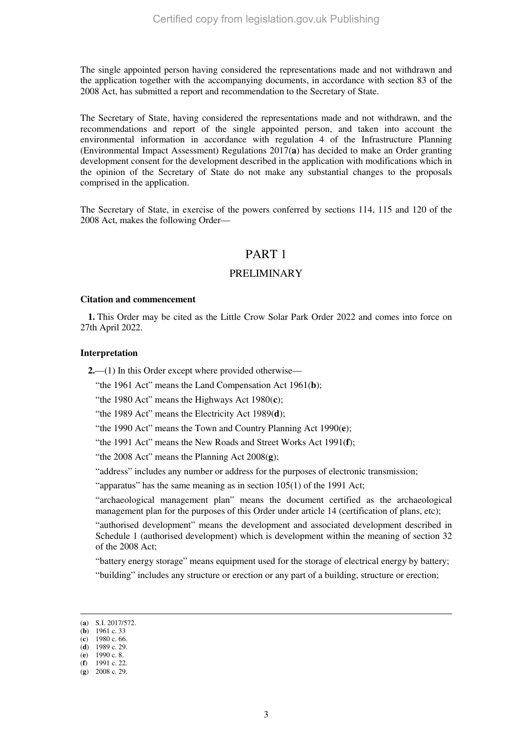The single appointed person having considered the representations made and not withdrawn and the application together with the accompanying documents, in accordance with section 83 of the 2008 Act, has submitted a report and recommendation to the Secretary of State.

The Secretary of State, having considered the representations made and not withdrawn, and the recommendations and report of the single appointed person, and taken into account the environmental information in accordance with regulation 4 of the Infrastructure Planning (Environmental Impact Assessment) Regulations 2017(**a**) has decided to make an Order granting development consent for the development described in the application with modifications which in the opinion of the Secretary of State do not make any substantial changes to the proposals comprised in the application.

The Secretary of State, in exercise of the powers conferred by sections 114, 115 and 120 of the 2008 Act, makes the following Order—

### PART 1

### PRELIMINARY

#### **Citation and commencement**

**1.** This Order may be cited as the Little Crow Solar Park Order 2022 and comes into force on 27th April 2022.

#### **Interpretation**

**2.**—(1) In this Order except where provided otherwise—

"the 1961 Act" means the Land Compensation Act 1961(**b**);

"the 1980 Act" means the Highways Act 1980(**c**);

"the 1989 Act" means the Electricity Act 1989(**d**);

"the 1990 Act" means the Town and Country Planning Act 1990(**e**);

"the 1991 Act" means the New Roads and Street Works Act 1991(**f**);

"the 2008 Act" means the Planning Act 2008(**g**);

"address" includes any number or address for the purposes of electronic transmission;

"apparatus" has the same meaning as in section 105(1) of the 1991 Act;

"archaeological management plan" means the document certified as the archaeological management plan for the purposes of this Order under article 14 (certification of plans, etc);

"authorised development" means the development and associated development described in Schedule 1 (authorised development) which is development within the meaning of section 32 of the 2008 Act;

"battery energy storage" means equipment used for the storage of electrical energy by battery;

"building" includes any structure or erection or any part of a building, structure or erection;

<sup>(</sup>**a**) S.I. 2017/572.

<sup>(</sup>**b**) 1961 c. 33 (**c**) 1980 c. 66.

<sup>(</sup>**d**) 1989 c. 29.

<sup>(</sup>**e**) 1990 c. 8.

<sup>(</sup>**f**) 1991 c. 22.

<sup>(</sup>**g**) 2008 c. 29.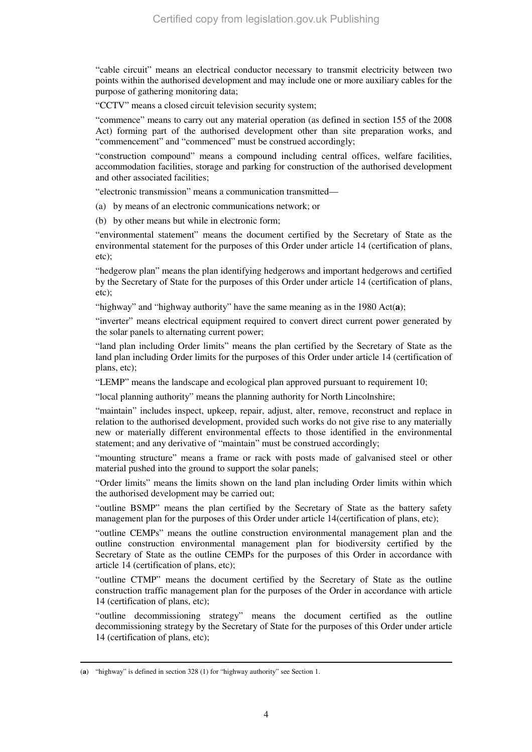"cable circuit" means an electrical conductor necessary to transmit electricity between two points within the authorised development and may include one or more auxiliary cables for the purpose of gathering monitoring data;

"CCTV" means a closed circuit television security system;

"commence" means to carry out any material operation (as defined in section 155 of the 2008 Act) forming part of the authorised development other than site preparation works, and "commencement" and "commenced" must be construed accordingly;

"construction compound" means a compound including central offices, welfare facilities, accommodation facilities, storage and parking for construction of the authorised development and other associated facilities;

"electronic transmission" means a communication transmitted—

(a) by means of an electronic communications network; or

(b) by other means but while in electronic form;

"environmental statement" means the document certified by the Secretary of State as the environmental statement for the purposes of this Order under article 14 (certification of plans, etc);

"hedgerow plan" means the plan identifying hedgerows and important hedgerows and certified by the Secretary of State for the purposes of this Order under article 14 (certification of plans, etc);

"highway" and "highway authority" have the same meaning as in the 1980 Act(**a**);

"inverter" means electrical equipment required to convert direct current power generated by the solar panels to alternating current power;

"land plan including Order limits" means the plan certified by the Secretary of State as the land plan including Order limits for the purposes of this Order under article 14 (certification of plans, etc);

"LEMP" means the landscape and ecological plan approved pursuant to requirement 10;

"local planning authority" means the planning authority for North Lincolnshire;

"maintain" includes inspect, upkeep, repair, adjust, alter, remove, reconstruct and replace in relation to the authorised development, provided such works do not give rise to any materially new or materially different environmental effects to those identified in the environmental statement; and any derivative of "maintain" must be construed accordingly;

"mounting structure" means a frame or rack with posts made of galvanised steel or other material pushed into the ground to support the solar panels;

"Order limits" means the limits shown on the land plan including Order limits within which the authorised development may be carried out;

"outline BSMP" means the plan certified by the Secretary of State as the battery safety management plan for the purposes of this Order under article 14(certification of plans, etc);

"outline CEMPs" means the outline construction environmental management plan and the outline construction environmental management plan for biodiversity certified by the Secretary of State as the outline CEMPs for the purposes of this Order in accordance with article 14 (certification of plans, etc);

"outline CTMP" means the document certified by the Secretary of State as the outline construction traffic management plan for the purposes of the Order in accordance with article 14 (certification of plans, etc);

"outline decommissioning strategy" means the document certified as the outline decommissioning strategy by the Secretary of State for the purposes of this Order under article 14 (certification of plans, etc);

<sup>-</sup>(**a**) "highway" is defined in section 328 (1) for "highway authority" see Section 1.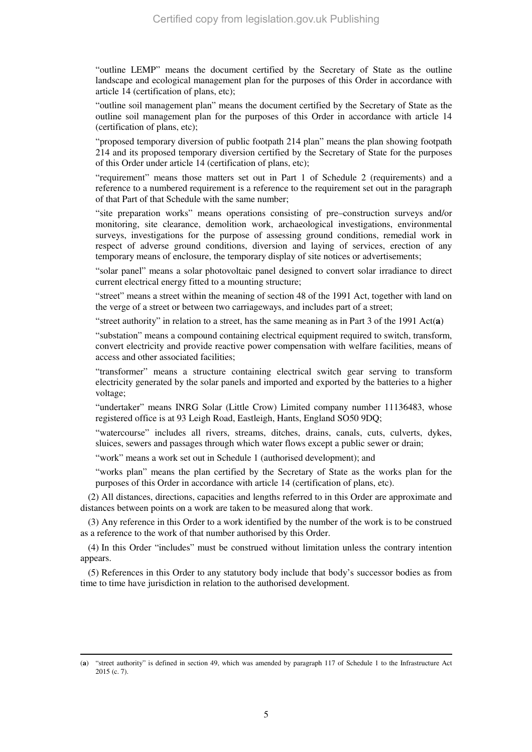"outline LEMP" means the document certified by the Secretary of State as the outline landscape and ecological management plan for the purposes of this Order in accordance with article 14 (certification of plans, etc);

"outline soil management plan" means the document certified by the Secretary of State as the outline soil management plan for the purposes of this Order in accordance with article 14 (certification of plans, etc);

"proposed temporary diversion of public footpath 214 plan" means the plan showing footpath 214 and its proposed temporary diversion certified by the Secretary of State for the purposes of this Order under article 14 (certification of plans, etc);

"requirement" means those matters set out in Part 1 of Schedule 2 (requirements) and a reference to a numbered requirement is a reference to the requirement set out in the paragraph of that Part of that Schedule with the same number;

"site preparation works" means operations consisting of pre–construction surveys and/or monitoring, site clearance, demolition work, archaeological investigations, environmental surveys, investigations for the purpose of assessing ground conditions, remedial work in respect of adverse ground conditions, diversion and laying of services, erection of any temporary means of enclosure, the temporary display of site notices or advertisements;

"solar panel" means a solar photovoltaic panel designed to convert solar irradiance to direct current electrical energy fitted to a mounting structure;

"street" means a street within the meaning of section 48 of the 1991 Act, together with land on the verge of a street or between two carriageways, and includes part of a street;

"street authority" in relation to a street, has the same meaning as in Part 3 of the 1991 Act(**a**)

"substation" means a compound containing electrical equipment required to switch, transform, convert electricity and provide reactive power compensation with welfare facilities, means of access and other associated facilities;

"transformer" means a structure containing electrical switch gear serving to transform electricity generated by the solar panels and imported and exported by the batteries to a higher voltage;

"undertaker" means INRG Solar (Little Crow) Limited company number 11136483, whose registered office is at 93 Leigh Road, Eastleigh, Hants, England SO50 9DQ;

"watercourse" includes all rivers, streams, ditches, drains, canals, cuts, culverts, dykes, sluices, sewers and passages through which water flows except a public sewer or drain;

"work" means a work set out in Schedule 1 (authorised development); and

"works plan" means the plan certified by the Secretary of State as the works plan for the purposes of this Order in accordance with article 14 (certification of plans, etc).

(2) All distances, directions, capacities and lengths referred to in this Order are approximate and distances between points on a work are taken to be measured along that work.

(3) Any reference in this Order to a work identified by the number of the work is to be construed as a reference to the work of that number authorised by this Order.

(4) In this Order "includes" must be construed without limitation unless the contrary intention appears.

(5) References in this Order to any statutory body include that body's successor bodies as from time to time have jurisdiction in relation to the authorised development.

<sup>(</sup>**a**) "street authority" is defined in section 49, which was amended by paragraph 117 of Schedule 1 to the Infrastructure Act 2015 (c. 7).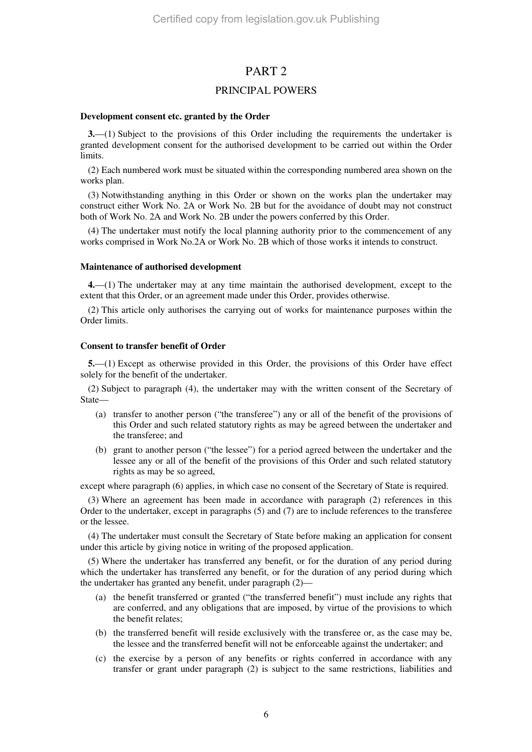### PART 2

### PRINCIPAL POWERS

#### **Development consent etc. granted by the Order**

**3.**—(1) Subject to the provisions of this Order including the requirements the undertaker is granted development consent for the authorised development to be carried out within the Order limits.

(2) Each numbered work must be situated within the corresponding numbered area shown on the works plan.

(3) Notwithstanding anything in this Order or shown on the works plan the undertaker may construct either Work No. 2A or Work No. 2B but for the avoidance of doubt may not construct both of Work No. 2A and Work No. 2B under the powers conferred by this Order.

(4) The undertaker must notify the local planning authority prior to the commencement of any works comprised in Work No.2A or Work No. 2B which of those works it intends to construct.

#### **Maintenance of authorised development**

**4.**—(1) The undertaker may at any time maintain the authorised development, except to the extent that this Order, or an agreement made under this Order, provides otherwise.

(2) This article only authorises the carrying out of works for maintenance purposes within the Order limits.

#### **Consent to transfer benefit of Order**

**5.**—(1) Except as otherwise provided in this Order, the provisions of this Order have effect solely for the benefit of the undertaker.

(2) Subject to paragraph (4), the undertaker may with the written consent of the Secretary of State—

- (a) transfer to another person ("the transferee") any or all of the benefit of the provisions of this Order and such related statutory rights as may be agreed between the undertaker and the transferee; and
- (b) grant to another person ("the lessee") for a period agreed between the undertaker and the lessee any or all of the benefit of the provisions of this Order and such related statutory rights as may be so agreed,

except where paragraph (6) applies, in which case no consent of the Secretary of State is required.

(3) Where an agreement has been made in accordance with paragraph (2) references in this Order to the undertaker, except in paragraphs (5) and (7) are to include references to the transferee or the lessee.

(4) The undertaker must consult the Secretary of State before making an application for consent under this article by giving notice in writing of the proposed application.

(5) Where the undertaker has transferred any benefit, or for the duration of any period during which the undertaker has transferred any benefit, or for the duration of any period during which the undertaker has granted any benefit, under paragraph (2)—

- (a) the benefit transferred or granted ("the transferred benefit") must include any rights that are conferred, and any obligations that are imposed, by virtue of the provisions to which the benefit relates;
- (b) the transferred benefit will reside exclusively with the transferee or, as the case may be, the lessee and the transferred benefit will not be enforceable against the undertaker; and
- (c) the exercise by a person of any benefits or rights conferred in accordance with any transfer or grant under paragraph (2) is subject to the same restrictions, liabilities and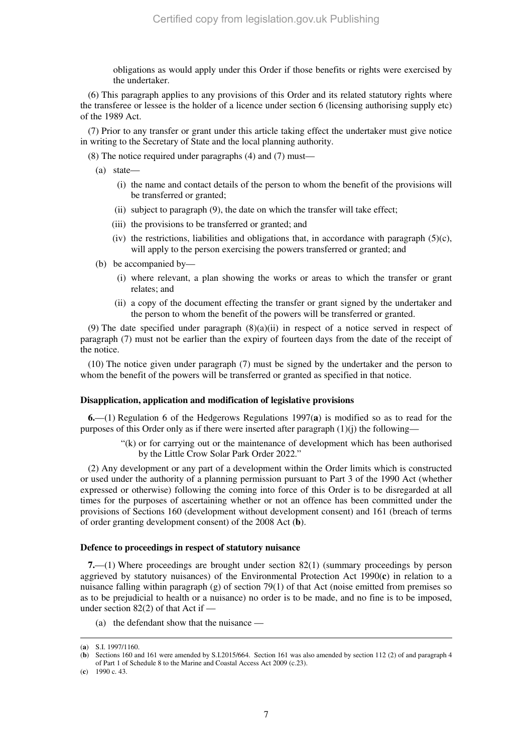obligations as would apply under this Order if those benefits or rights were exercised by the undertaker.

(6) This paragraph applies to any provisions of this Order and its related statutory rights where the transferee or lessee is the holder of a licence under section 6 (licensing authorising supply etc) of the 1989 Act.

(7) Prior to any transfer or grant under this article taking effect the undertaker must give notice in writing to the Secretary of State and the local planning authority.

(8) The notice required under paragraphs (4) and (7) must—

- (a) state—
	- (i) the name and contact details of the person to whom the benefit of the provisions will be transferred or granted;
	- (ii) subject to paragraph (9), the date on which the transfer will take effect;
	- (iii) the provisions to be transferred or granted; and
	- (iv) the restrictions, liabilities and obligations that, in accordance with paragraph  $(5)(c)$ , will apply to the person exercising the powers transferred or granted; and
- (b) be accompanied by—
	- (i) where relevant, a plan showing the works or areas to which the transfer or grant relates; and
	- (ii) a copy of the document effecting the transfer or grant signed by the undertaker and the person to whom the benefit of the powers will be transferred or granted.

(9) The date specified under paragraph  $(8)(a)(ii)$  in respect of a notice served in respect of paragraph (7) must not be earlier than the expiry of fourteen days from the date of the receipt of the notice.

(10) The notice given under paragraph (7) must be signed by the undertaker and the person to whom the benefit of the powers will be transferred or granted as specified in that notice.

#### **Disapplication, application and modification of legislative provisions**

**6.**—(1) Regulation 6 of the Hedgerows Regulations 1997(**a**) is modified so as to read for the purposes of this Order only as if there were inserted after paragraph  $(1)(i)$  the following—

> "(k) or for carrying out or the maintenance of development which has been authorised by the Little Crow Solar Park Order 2022."

(2) Any development or any part of a development within the Order limits which is constructed or used under the authority of a planning permission pursuant to Part 3 of the 1990 Act (whether expressed or otherwise) following the coming into force of this Order is to be disregarded at all times for the purposes of ascertaining whether or not an offence has been committed under the provisions of Sections 160 (development without development consent) and 161 (breach of terms of order granting development consent) of the 2008 Act (**b**).

#### **Defence to proceedings in respect of statutory nuisance**

**7.**—(1) Where proceedings are brought under section 82(1) (summary proceedings by person aggrieved by statutory nuisances) of the Environmental Protection Act 1990(**c**) in relation to a nuisance falling within paragraph  $(g)$  of section 79(1) of that Act (noise emitted from premises so as to be prejudicial to health or a nuisance) no order is to be made, and no fine is to be imposed, under section 82(2) of that Act if —

(a) the defendant show that the nuisance —

<sup>(</sup>**a**) S.I. 1997/1160.

<sup>(</sup>**b**) Sections 160 and 161 were amended by S.I.2015/664. Section 161 was also amended by section 112 (2) of and paragraph 4 of Part 1 of Schedule 8 to the Marine and Coastal Access Act 2009 (c.23).

<sup>(</sup>**c**) 1990 c. 43.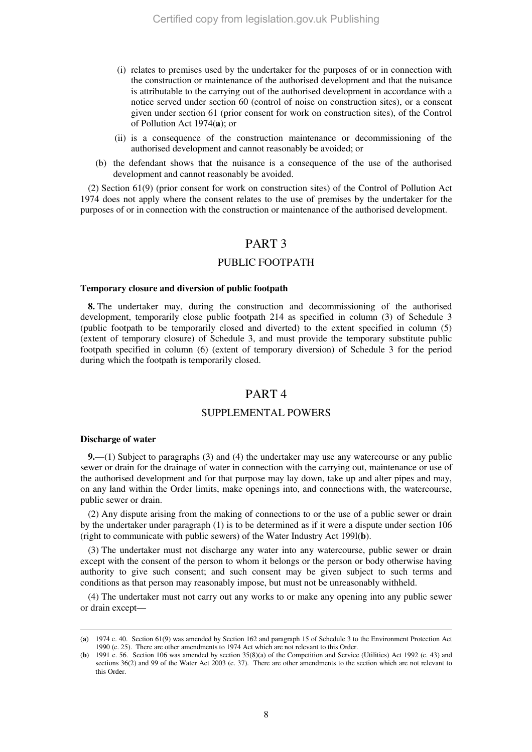- (i) relates to premises used by the undertaker for the purposes of or in connection with the construction or maintenance of the authorised development and that the nuisance is attributable to the carrying out of the authorised development in accordance with a notice served under section 60 (control of noise on construction sites), or a consent given under section 61 (prior consent for work on construction sites), of the Control of Pollution Act 1974(**a**); or
- (ii) is a consequence of the construction maintenance or decommissioning of the authorised development and cannot reasonably be avoided; or
- (b) the defendant shows that the nuisance is a consequence of the use of the authorised development and cannot reasonably be avoided.

(2) Section 61(9) (prior consent for work on construction sites) of the Control of Pollution Act 1974 does not apply where the consent relates to the use of premises by the undertaker for the purposes of or in connection with the construction or maintenance of the authorised development.

### PART 3

### PUBLIC FOOTPATH

#### **Temporary closure and diversion of public footpath**

**8.** The undertaker may, during the construction and decommissioning of the authorised development, temporarily close public footpath 214 as specified in column (3) of Schedule 3 (public footpath to be temporarily closed and diverted) to the extent specified in column (5) (extent of temporary closure) of Schedule 3, and must provide the temporary substitute public footpath specified in column (6) (extent of temporary diversion) of Schedule 3 for the period during which the footpath is temporarily closed.

#### PART 4

#### SUPPLEMENTAL POWERS

#### **Discharge of water**

-

**9.**—(1) Subject to paragraphs (3) and (4) the undertaker may use any watercourse or any public sewer or drain for the drainage of water in connection with the carrying out, maintenance or use of the authorised development and for that purpose may lay down, take up and alter pipes and may, on any land within the Order limits, make openings into, and connections with, the watercourse, public sewer or drain.

(2) Any dispute arising from the making of connections to or the use of a public sewer or drain by the undertaker under paragraph (1) is to be determined as if it were a dispute under section 106 (right to communicate with public sewers) of the Water Industry Act 199l(**b**).

(3) The undertaker must not discharge any water into any watercourse, public sewer or drain except with the consent of the person to whom it belongs or the person or body otherwise having authority to give such consent; and such consent may be given subject to such terms and conditions as that person may reasonably impose, but must not be unreasonably withheld.

(4) The undertaker must not carry out any works to or make any opening into any public sewer or drain except—

<sup>(</sup>**a**) 1974 c. 40. Section 61(9) was amended by Section 162 and paragraph 15 of Schedule 3 to the Environment Protection Act 1990 (c. 25). There are other amendments to 1974 Act which are not relevant to this Order.

<sup>(</sup>**b**) 1991 c. 56. Section 106 was amended by section 35(8)(a) of the Competition and Service (Utilities) Act 1992 (c. 43) and sections 36(2) and 99 of the Water Act 2003 (c. 37). There are other amendments to the section which are not relevant to this Order.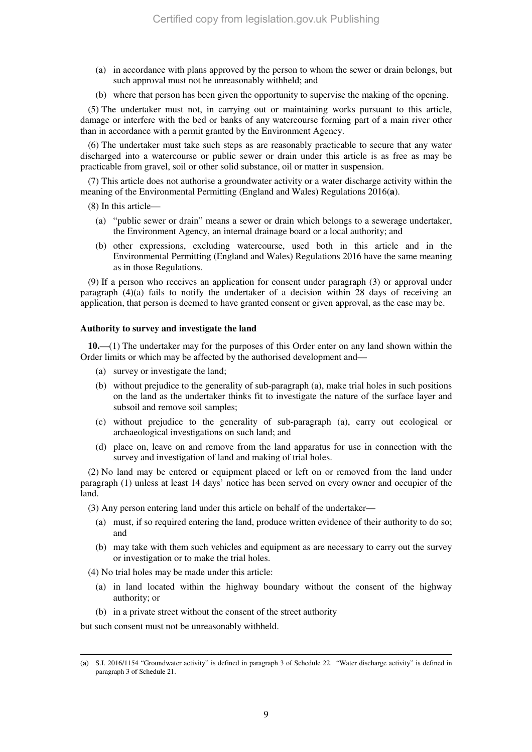- (a) in accordance with plans approved by the person to whom the sewer or drain belongs, but such approval must not be unreasonably withheld; and
- (b) where that person has been given the opportunity to supervise the making of the opening.

(5) The undertaker must not, in carrying out or maintaining works pursuant to this article, damage or interfere with the bed or banks of any watercourse forming part of a main river other than in accordance with a permit granted by the Environment Agency.

(6) The undertaker must take such steps as are reasonably practicable to secure that any water discharged into a watercourse or public sewer or drain under this article is as free as may be practicable from gravel, soil or other solid substance, oil or matter in suspension.

(7) This article does not authorise a groundwater activity or a water discharge activity within the meaning of the Environmental Permitting (England and Wales) Regulations 2016(**a**).

(8) In this article—

- (a) "public sewer or drain" means a sewer or drain which belongs to a sewerage undertaker, the Environment Agency, an internal drainage board or a local authority; and
- (b) other expressions, excluding watercourse, used both in this article and in the Environmental Permitting (England and Wales) Regulations 2016 have the same meaning as in those Regulations.

(9) If a person who receives an application for consent under paragraph (3) or approval under paragraph  $(4)(a)$  fails to notify the undertaker of a decision within 28 days of receiving an application, that person is deemed to have granted consent or given approval, as the case may be.

#### **Authority to survey and investigate the land**

**10.**—(1) The undertaker may for the purposes of this Order enter on any land shown within the Order limits or which may be affected by the authorised development and—

- (a) survey or investigate the land;
- (b) without prejudice to the generality of sub-paragraph (a), make trial holes in such positions on the land as the undertaker thinks fit to investigate the nature of the surface layer and subsoil and remove soil samples;
- (c) without prejudice to the generality of sub-paragraph (a), carry out ecological or archaeological investigations on such land; and
- (d) place on, leave on and remove from the land apparatus for use in connection with the survey and investigation of land and making of trial holes.

(2) No land may be entered or equipment placed or left on or removed from the land under paragraph (1) unless at least 14 days' notice has been served on every owner and occupier of the land.

(3) Any person entering land under this article on behalf of the undertaker—

- (a) must, if so required entering the land, produce written evidence of their authority to do so; and
- (b) may take with them such vehicles and equipment as are necessary to carry out the survey or investigation or to make the trial holes.
- (4) No trial holes may be made under this article:
	- (a) in land located within the highway boundary without the consent of the highway authority; or
	- (b) in a private street without the consent of the street authority

but such consent must not be unreasonably withheld.

<sup>(</sup>**a**) S.I. 2016/1154 "Groundwater activity" is defined in paragraph 3 of Schedule 22. "Water discharge activity" is defined in paragraph 3 of Schedule 21.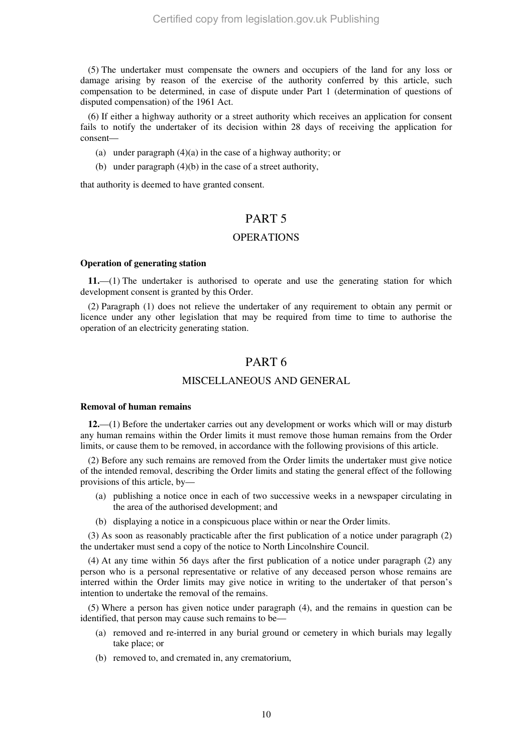(5) The undertaker must compensate the owners and occupiers of the land for any loss or damage arising by reason of the exercise of the authority conferred by this article, such compensation to be determined, in case of dispute under Part 1 (determination of questions of disputed compensation) of the 1961 Act.

(6) If either a highway authority or a street authority which receives an application for consent fails to notify the undertaker of its decision within 28 days of receiving the application for consent—

- (a) under paragraph (4)(a) in the case of a highway authority; or
- (b) under paragraph (4)(b) in the case of a street authority,

that authority is deemed to have granted consent.

### PART 5

#### **OPERATIONS**

#### **Operation of generating station**

**11.**—(1) The undertaker is authorised to operate and use the generating station for which development consent is granted by this Order.

(2) Paragraph (1) does not relieve the undertaker of any requirement to obtain any permit or licence under any other legislation that may be required from time to time to authorise the operation of an electricity generating station.

### PART 6

### MISCELLANEOUS AND GENERAL

#### **Removal of human remains**

**12.**—(1) Before the undertaker carries out any development or works which will or may disturb any human remains within the Order limits it must remove those human remains from the Order limits, or cause them to be removed, in accordance with the following provisions of this article.

(2) Before any such remains are removed from the Order limits the undertaker must give notice of the intended removal, describing the Order limits and stating the general effect of the following provisions of this article, by—

- (a) publishing a notice once in each of two successive weeks in a newspaper circulating in the area of the authorised development; and
- (b) displaying a notice in a conspicuous place within or near the Order limits.

(3) As soon as reasonably practicable after the first publication of a notice under paragraph (2) the undertaker must send a copy of the notice to North Lincolnshire Council.

(4) At any time within 56 days after the first publication of a notice under paragraph (2) any person who is a personal representative or relative of any deceased person whose remains are interred within the Order limits may give notice in writing to the undertaker of that person's intention to undertake the removal of the remains.

(5) Where a person has given notice under paragraph (4), and the remains in question can be identified, that person may cause such remains to be—

- (a) removed and re-interred in any burial ground or cemetery in which burials may legally take place; or
- (b) removed to, and cremated in, any crematorium,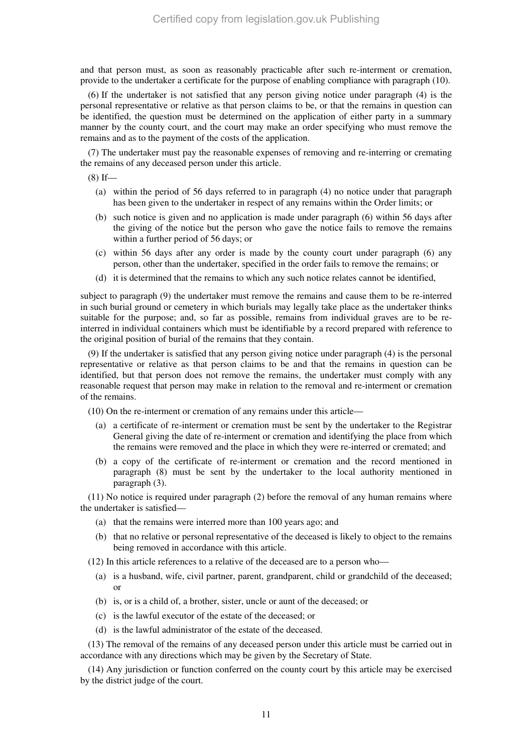and that person must, as soon as reasonably practicable after such re-interment or cremation, provide to the undertaker a certificate for the purpose of enabling compliance with paragraph (10).

(6) If the undertaker is not satisfied that any person giving notice under paragraph (4) is the personal representative or relative as that person claims to be, or that the remains in question can be identified, the question must be determined on the application of either party in a summary manner by the county court, and the court may make an order specifying who must remove the remains and as to the payment of the costs of the application.

(7) The undertaker must pay the reasonable expenses of removing and re-interring or cremating the remains of any deceased person under this article.

 $(8)$  If—

- (a) within the period of 56 days referred to in paragraph (4) no notice under that paragraph has been given to the undertaker in respect of any remains within the Order limits; or
- (b) such notice is given and no application is made under paragraph (6) within 56 days after the giving of the notice but the person who gave the notice fails to remove the remains within a further period of 56 days; or
- (c) within 56 days after any order is made by the county court under paragraph (6) any person, other than the undertaker, specified in the order fails to remove the remains; or
- (d) it is determined that the remains to which any such notice relates cannot be identified,

subject to paragraph (9) the undertaker must remove the remains and cause them to be re-interred in such burial ground or cemetery in which burials may legally take place as the undertaker thinks suitable for the purpose; and, so far as possible, remains from individual graves are to be reinterred in individual containers which must be identifiable by a record prepared with reference to the original position of burial of the remains that they contain.

(9) If the undertaker is satisfied that any person giving notice under paragraph (4) is the personal representative or relative as that person claims to be and that the remains in question can be identified, but that person does not remove the remains, the undertaker must comply with any reasonable request that person may make in relation to the removal and re-interment or cremation of the remains.

(10) On the re-interment or cremation of any remains under this article—

- (a) a certificate of re-interment or cremation must be sent by the undertaker to the Registrar General giving the date of re-interment or cremation and identifying the place from which the remains were removed and the place in which they were re-interred or cremated; and
- (b) a copy of the certificate of re-interment or cremation and the record mentioned in paragraph (8) must be sent by the undertaker to the local authority mentioned in paragraph (3).

(11) No notice is required under paragraph (2) before the removal of any human remains where the undertaker is satisfied—

- (a) that the remains were interred more than 100 years ago; and
- (b) that no relative or personal representative of the deceased is likely to object to the remains being removed in accordance with this article.

(12) In this article references to a relative of the deceased are to a person who—

- (a) is a husband, wife, civil partner, parent, grandparent, child or grandchild of the deceased; or
- (b) is, or is a child of, a brother, sister, uncle or aunt of the deceased; or
- (c) is the lawful executor of the estate of the deceased; or
- (d) is the lawful administrator of the estate of the deceased.

(13) The removal of the remains of any deceased person under this article must be carried out in accordance with any directions which may be given by the Secretary of State.

(14) Any jurisdiction or function conferred on the county court by this article may be exercised by the district judge of the court.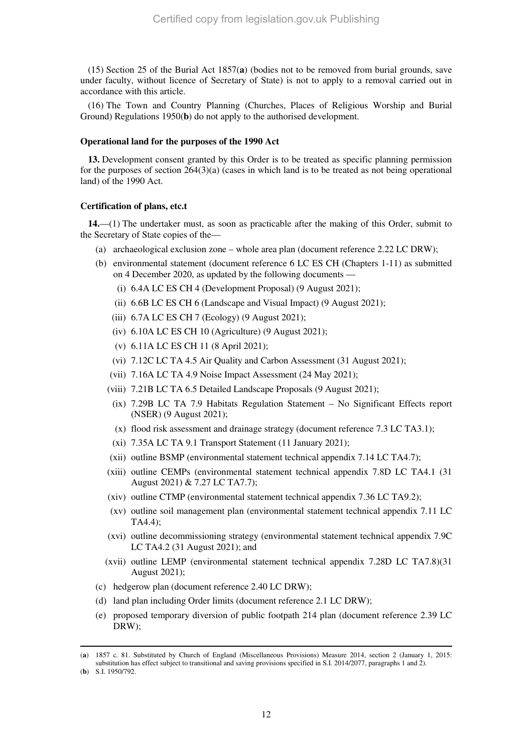(15) Section 25 of the Burial Act 1857(**a**) (bodies not to be removed from burial grounds, save under faculty, without licence of Secretary of State) is not to apply to a removal carried out in accordance with this article.

(16) The Town and Country Planning (Churches, Places of Religious Worship and Burial Ground) Regulations 1950(**b**) do not apply to the authorised development.

#### **Operational land for the purposes of the 1990 Act**

**13.** Development consent granted by this Order is to be treated as specific planning permission for the purposes of section  $264(3)(a)$  (cases in which land is to be treated as not being operational land) of the 1990 Act.

#### **Certification of plans, etc.t**

**14.**—(1) The undertaker must, as soon as practicable after the making of this Order, submit to the Secretary of State copies of the—

- (a) archaeological exclusion zone whole area plan (document reference 2.22 LC DRW);
- (b) environmental statement (document reference 6 LC ES CH (Chapters 1-11) as submitted on 4 December 2020, as updated by the following documents —
	- (i) 6.4A LC ES CH 4 (Development Proposal) (9 August 2021);
	- (ii) 6.6B LC ES CH 6 (Landscape and Visual Impact) (9 August 2021);
	- (iii) 6.7A LC ES CH 7 (Ecology) (9 August 2021);
	- (iv) 6.10A LC ES CH 10 (Agriculture) (9 August 2021);
	- (v) 6.11A LC ES CH 11 (8 April 2021);
	- (vi) 7.12C LC TA 4.5 Air Quality and Carbon Assessment (31 August 2021);
	- (vii) 7.16A LC TA 4.9 Noise Impact Assessment (24 May 2021);
	- (viii) 7.21B LC TA 6.5 Detailed Landscape Proposals (9 August 2021);
	- (ix) 7.29B LC TA 7.9 Habitats Regulation Statement No Significant Effects report (NSER) (9 August 2021);
	- (x) flood risk assessment and drainage strategy (document reference 7.3 LC TA3.1);
	- (xi) 7.35A LC TA 9.1 Transport Statement (11 January 2021);
	- (xii) outline BSMP (environmental statement technical appendix 7.14 LC TA4.7);
	- (xiii) outline CEMPs (environmental statement technical appendix 7.8D LC TA4.1 (31 August 2021) & 7.27 LC TA7.7);
	- (xiv) outline CTMP (environmental statement technical appendix 7.36 LC TA9.2);
	- (xv) outline soil management plan (environmental statement technical appendix 7.11 LC TA4.4);
	- (xvi) outline decommissioning strategy (environmental statement technical appendix 7.9C LC TA4.2 (31 August 2021); and
	- (xvii) outline LEMP (environmental statement technical appendix 7.28D LC TA7.8)(31 August 2021);
- (c) hedgerow plan (document reference 2.40 LC DRW);
- (d) land plan including Order limits (document reference 2.1 LC DRW);
- (e) proposed temporary diversion of public footpath 214 plan (document reference 2.39 LC DRW);

<sup>(</sup>**a**) 1857 c. 81. Substituted by Church of England (Miscellaneous Provisions) Measure 2014, section 2 (January 1, 2015: substitution has effect subject to transitional and saving provisions specified in S.I. 2014/2077, paragraphs 1 and 2).

<sup>(</sup>**b**) S.I. 1950/792.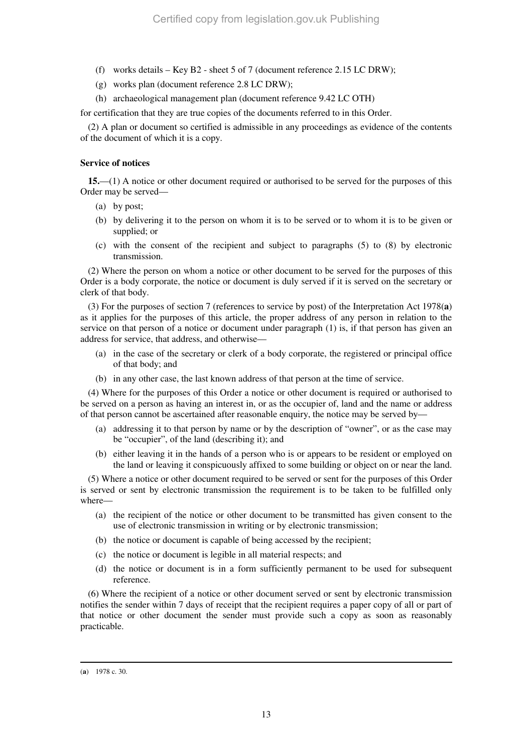- (f) works details  $-$  Key B2 sheet 5 of 7 (document reference 2.15 LC DRW);
- (g) works plan (document reference 2.8 LC DRW);
- (h) archaeological management plan (document reference 9.42 LC OTH)

for certification that they are true copies of the documents referred to in this Order.

(2) A plan or document so certified is admissible in any proceedings as evidence of the contents of the document of which it is a copy.

#### **Service of notices**

**15.**—(1) A notice or other document required or authorised to be served for the purposes of this Order may be served—

- (a) by post;
- (b) by delivering it to the person on whom it is to be served or to whom it is to be given or supplied; or
- (c) with the consent of the recipient and subject to paragraphs (5) to (8) by electronic transmission.

(2) Where the person on whom a notice or other document to be served for the purposes of this Order is a body corporate, the notice or document is duly served if it is served on the secretary or clerk of that body.

(3) For the purposes of section 7 (references to service by post) of the Interpretation Act 1978(**a**) as it applies for the purposes of this article, the proper address of any person in relation to the service on that person of a notice or document under paragraph (1) is, if that person has given an address for service, that address, and otherwise—

- (a) in the case of the secretary or clerk of a body corporate, the registered or principal office of that body; and
- (b) in any other case, the last known address of that person at the time of service.

(4) Where for the purposes of this Order a notice or other document is required or authorised to be served on a person as having an interest in, or as the occupier of, land and the name or address of that person cannot be ascertained after reasonable enquiry, the notice may be served by—

- (a) addressing it to that person by name or by the description of "owner", or as the case may be "occupier", of the land (describing it); and
- (b) either leaving it in the hands of a person who is or appears to be resident or employed on the land or leaving it conspicuously affixed to some building or object on or near the land.

(5) Where a notice or other document required to be served or sent for the purposes of this Order is served or sent by electronic transmission the requirement is to be taken to be fulfilled only where—

- (a) the recipient of the notice or other document to be transmitted has given consent to the use of electronic transmission in writing or by electronic transmission;
- (b) the notice or document is capable of being accessed by the recipient;
- (c) the notice or document is legible in all material respects; and
- (d) the notice or document is in a form sufficiently permanent to be used for subsequent reference.

(6) Where the recipient of a notice or other document served or sent by electronic transmission notifies the sender within 7 days of receipt that the recipient requires a paper copy of all or part of that notice or other document the sender must provide such a copy as soon as reasonably practicable.

<sup>(</sup>**a**) 1978 c. 30.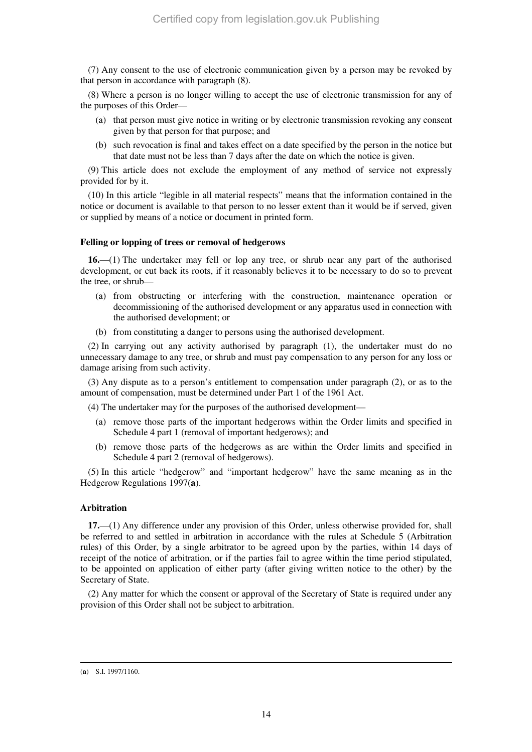(7) Any consent to the use of electronic communication given by a person may be revoked by that person in accordance with paragraph (8).

(8) Where a person is no longer willing to accept the use of electronic transmission for any of the purposes of this Order—

- (a) that person must give notice in writing or by electronic transmission revoking any consent given by that person for that purpose; and
- (b) such revocation is final and takes effect on a date specified by the person in the notice but that date must not be less than 7 days after the date on which the notice is given.

(9) This article does not exclude the employment of any method of service not expressly provided for by it.

(10) In this article "legible in all material respects" means that the information contained in the notice or document is available to that person to no lesser extent than it would be if served, given or supplied by means of a notice or document in printed form.

#### **Felling or lopping of trees or removal of hedgerows**

**16.**—(1) The undertaker may fell or lop any tree, or shrub near any part of the authorised development, or cut back its roots, if it reasonably believes it to be necessary to do so to prevent the tree, or shrub—

- (a) from obstructing or interfering with the construction, maintenance operation or decommissioning of the authorised development or any apparatus used in connection with the authorised development; or
- (b) from constituting a danger to persons using the authorised development.

(2) In carrying out any activity authorised by paragraph (1), the undertaker must do no unnecessary damage to any tree, or shrub and must pay compensation to any person for any loss or damage arising from such activity.

(3) Any dispute as to a person's entitlement to compensation under paragraph (2), or as to the amount of compensation, must be determined under Part 1 of the 1961 Act.

(4) The undertaker may for the purposes of the authorised development—

- (a) remove those parts of the important hedgerows within the Order limits and specified in Schedule 4 part 1 (removal of important hedgerows); and
- (b) remove those parts of the hedgerows as are within the Order limits and specified in Schedule 4 part 2 (removal of hedgerows).

(5) In this article "hedgerow" and "important hedgerow" have the same meaning as in the Hedgerow Regulations 1997(**a**).

#### **Arbitration**

**17.**—(1) Any difference under any provision of this Order, unless otherwise provided for, shall be referred to and settled in arbitration in accordance with the rules at Schedule 5 (Arbitration rules) of this Order, by a single arbitrator to be agreed upon by the parties, within 14 days of receipt of the notice of arbitration, or if the parties fail to agree within the time period stipulated, to be appointed on application of either party (after giving written notice to the other) by the Secretary of State.

(2) Any matter for which the consent or approval of the Secretary of State is required under any provision of this Order shall not be subject to arbitration.

<sup>-</sup>(**a**) S.I. 1997/1160.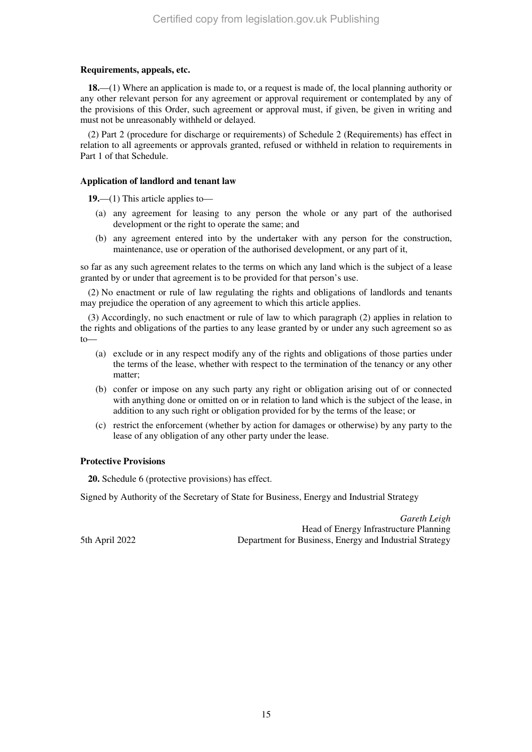#### **Requirements, appeals, etc.**

**18.**—(1) Where an application is made to, or a request is made of, the local planning authority or any other relevant person for any agreement or approval requirement or contemplated by any of the provisions of this Order, such agreement or approval must, if given, be given in writing and must not be unreasonably withheld or delayed.

(2) Part 2 (procedure for discharge or requirements) of Schedule 2 (Requirements) has effect in relation to all agreements or approvals granted, refused or withheld in relation to requirements in Part 1 of that Schedule.

#### **Application of landlord and tenant law**

**19.**—(1) This article applies to—

- (a) any agreement for leasing to any person the whole or any part of the authorised development or the right to operate the same; and
- (b) any agreement entered into by the undertaker with any person for the construction, maintenance, use or operation of the authorised development, or any part of it,

so far as any such agreement relates to the terms on which any land which is the subject of a lease granted by or under that agreement is to be provided for that person's use.

(2) No enactment or rule of law regulating the rights and obligations of landlords and tenants may prejudice the operation of any agreement to which this article applies.

(3) Accordingly, no such enactment or rule of law to which paragraph (2) applies in relation to the rights and obligations of the parties to any lease granted by or under any such agreement so as  $t_0$ 

- (a) exclude or in any respect modify any of the rights and obligations of those parties under the terms of the lease, whether with respect to the termination of the tenancy or any other matter;
- (b) confer or impose on any such party any right or obligation arising out of or connected with anything done or omitted on or in relation to land which is the subject of the lease, in addition to any such right or obligation provided for by the terms of the lease; or
- (c) restrict the enforcement (whether by action for damages or otherwise) by any party to the lease of any obligation of any other party under the lease.

#### **Protective Provisions**

**20.** Schedule 6 (protective provisions) has effect.

Signed by Authority of the Secretary of State for Business, Energy and Industrial Strategy

*Gareth Leigh* Head of Energy Infrastructure Planning 5th April 2022 Department for Business, Energy and Industrial Strategy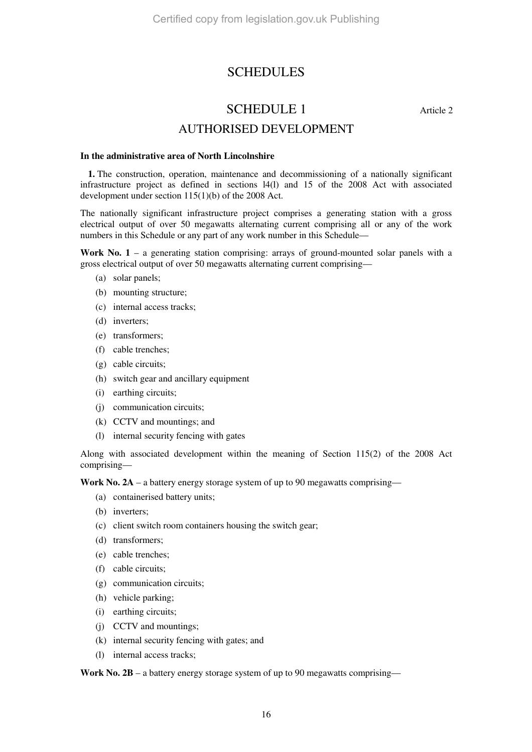# **SCHEDULES**

# SCHEDULE 1 Article 2

## AUTHORISED DEVELOPMENT

#### **In the administrative area of North Lincolnshire**

**1.** The construction, operation, maintenance and decommissioning of a nationally significant infrastructure project as defined in sections l4(l) and 15 of the 2008 Act with associated development under section 115(1)(b) of the 2008 Act.

The nationally significant infrastructure project comprises a generating station with a gross electrical output of over 50 megawatts alternating current comprising all or any of the work numbers in this Schedule or any part of any work number in this Schedule—

**Work No. 1** – a generating station comprising: arrays of ground-mounted solar panels with a gross electrical output of over 50 megawatts alternating current comprising—

- (a) solar panels;
- (b) mounting structure;
- (c) internal access tracks;
- (d) inverters;
- (e) transformers;
- (f) cable trenches;
- (g) cable circuits;
- (h) switch gear and ancillary equipment
- (i) earthing circuits;
- (j) communication circuits;
- (k) CCTV and mountings; and
- (l) internal security fencing with gates

Along with associated development within the meaning of Section 115(2) of the 2008 Act comprising—

Work No. 2A – a battery energy storage system of up to 90 megawatts comprising—

- (a) containerised battery units;
- (b) inverters;
- (c) client switch room containers housing the switch gear;
- (d) transformers;
- (e) cable trenches;
- (f) cable circuits;
- (g) communication circuits;
- (h) vehicle parking;
- (i) earthing circuits;
- (j) CCTV and mountings;
- (k) internal security fencing with gates; and
- (l) internal access tracks;

Work No. 2B – a battery energy storage system of up to 90 megawatts comprising—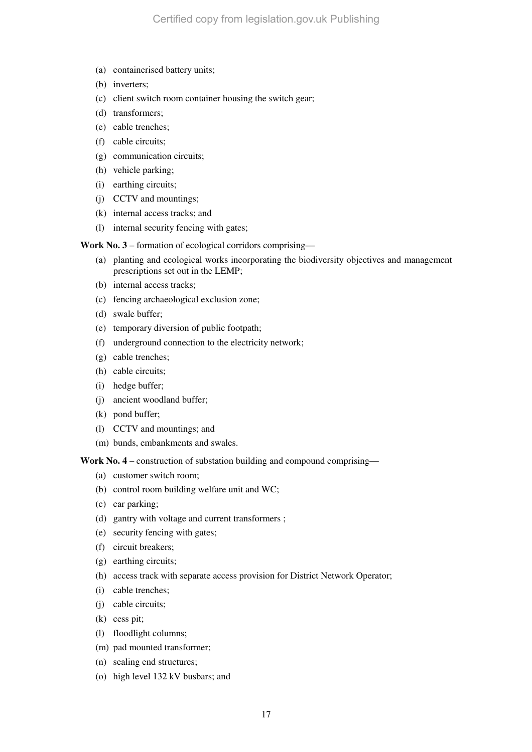- (a) containerised battery units;
- (b) inverters;
- (c) client switch room container housing the switch gear;
- (d) transformers;
- (e) cable trenches;
- (f) cable circuits;
- (g) communication circuits;
- (h) vehicle parking;
- (i) earthing circuits;
- (j) CCTV and mountings;
- (k) internal access tracks; and
- (l) internal security fencing with gates;

**Work No. 3** – formation of ecological corridors comprising—

- (a) planting and ecological works incorporating the biodiversity objectives and management prescriptions set out in the LEMP;
- (b) internal access tracks;
- (c) fencing archaeological exclusion zone;
- (d) swale buffer;
- (e) temporary diversion of public footpath;
- (f) underground connection to the electricity network;
- (g) cable trenches;
- (h) cable circuits;
- (i) hedge buffer;
- (j) ancient woodland buffer;
- (k) pond buffer;
- (l) CCTV and mountings; and
- (m) bunds, embankments and swales.

Work No. 4 – construction of substation building and compound comprising—

- (a) customer switch room;
- (b) control room building welfare unit and WC;
- (c) car parking;
- (d) gantry with voltage and current transformers ;
- (e) security fencing with gates;
- (f) circuit breakers;
- (g) earthing circuits;
- (h) access track with separate access provision for District Network Operator;
- (i) cable trenches;
- (j) cable circuits;
- (k) cess pit;
- (l) floodlight columns;
- (m) pad mounted transformer;
- (n) sealing end structures;
- (o) high level 132 kV busbars; and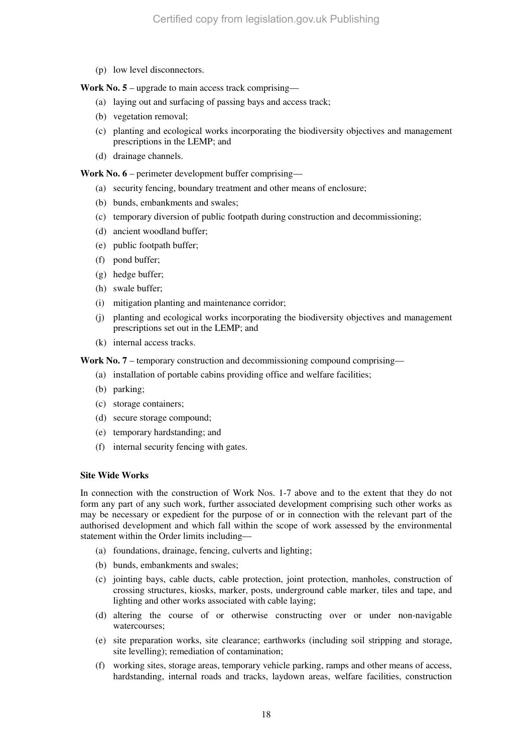(p) low level disconnectors.

**Work No. 5** – upgrade to main access track comprising—

- (a) laying out and surfacing of passing bays and access track;
- (b) vegetation removal;
- (c) planting and ecological works incorporating the biodiversity objectives and management prescriptions in the LEMP; and
- (d) drainage channels.

**Work No. 6** – perimeter development buffer comprising—

- (a) security fencing, boundary treatment and other means of enclosure;
- (b) bunds, embankments and swales;
- (c) temporary diversion of public footpath during construction and decommissioning;
- (d) ancient woodland buffer;
- (e) public footpath buffer;
- (f) pond buffer;
- (g) hedge buffer;
- (h) swale buffer;
- (i) mitigation planting and maintenance corridor;
- (j) planting and ecological works incorporating the biodiversity objectives and management prescriptions set out in the LEMP; and
- (k) internal access tracks.

**Work No. 7** – temporary construction and decommissioning compound comprising—

- (a) installation of portable cabins providing office and welfare facilities;
- (b) parking;
- (c) storage containers;
- (d) secure storage compound;
- (e) temporary hardstanding; and
- (f) internal security fencing with gates.

#### **Site Wide Works**

In connection with the construction of Work Nos. 1-7 above and to the extent that they do not form any part of any such work, further associated development comprising such other works as may be necessary or expedient for the purpose of or in connection with the relevant part of the authorised development and which fall within the scope of work assessed by the environmental statement within the Order limits including—

- (a) foundations, drainage, fencing, culverts and lighting;
- (b) bunds, embankments and swales;
- (c) jointing bays, cable ducts, cable protection, joint protection, manholes, construction of crossing structures, kiosks, marker, posts, underground cable marker, tiles and tape, and lighting and other works associated with cable laying;
- (d) altering the course of or otherwise constructing over or under non-navigable watercourses;
- (e) site preparation works, site clearance; earthworks (including soil stripping and storage, site levelling); remediation of contamination;
- (f) working sites, storage areas, temporary vehicle parking, ramps and other means of access, hardstanding, internal roads and tracks, laydown areas, welfare facilities, construction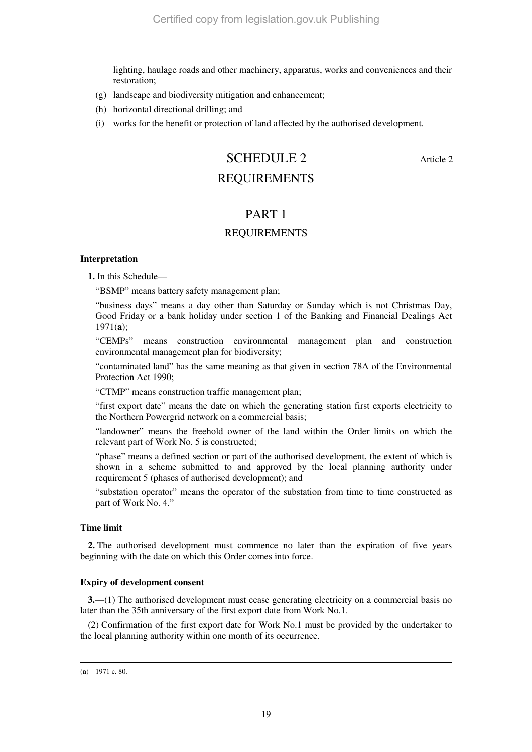lighting, haulage roads and other machinery, apparatus, works and conveniences and their restoration;

- (g) landscape and biodiversity mitigation and enhancement;
- (h) horizontal directional drilling; and
- (i) works for the benefit or protection of land affected by the authorised development.

# SCHEDULE 2 Article 2

## REQUIREMENTS

### PART 1

### REQUIREMENTS

#### **Interpretation**

**1.** In this Schedule—

"BSMP" means battery safety management plan;

"business days" means a day other than Saturday or Sunday which is not Christmas Day, Good Friday or a bank holiday under section 1 of the Banking and Financial Dealings Act 1971(**a**);

"CEMPs" means construction environmental management plan and construction environmental management plan for biodiversity;

"contaminated land" has the same meaning as that given in section 78A of the Environmental Protection Act 1990;

"CTMP" means construction traffic management plan;

"first export date" means the date on which the generating station first exports electricity to the Northern Powergrid network on a commercial basis;

"landowner" means the freehold owner of the land within the Order limits on which the relevant part of Work No. 5 is constructed;

"phase" means a defined section or part of the authorised development, the extent of which is shown in a scheme submitted to and approved by the local planning authority under requirement 5 (phases of authorised development); and

"substation operator" means the operator of the substation from time to time constructed as part of Work No. 4."

#### **Time limit**

**2.** The authorised development must commence no later than the expiration of five years beginning with the date on which this Order comes into force.

#### **Expiry of development consent**

**3.**—(1) The authorised development must cease generating electricity on a commercial basis no later than the 35th anniversary of the first export date from Work No.1.

(2) Confirmation of the first export date for Work No.1 must be provided by the undertaker to the local planning authority within one month of its occurrence.

<sup>(</sup>**a**) 1971 c. 80.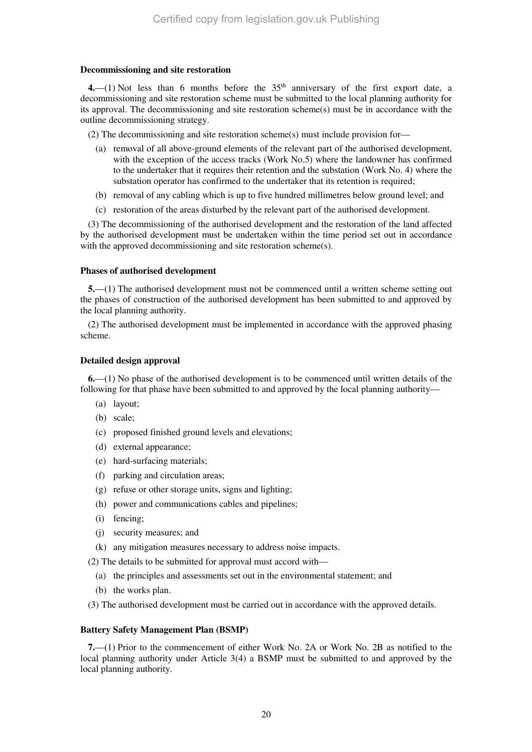#### **Decommissioning and site restoration**

**4.**—(1) Not less than 6 months before the  $35<sup>th</sup>$  anniversary of the first export date, a decommissioning and site restoration scheme must be submitted to the local planning authority for its approval. The decommissioning and site restoration scheme(s) must be in accordance with the outline decommissioning strategy.

(2) The decommissioning and site restoration scheme(s) must include provision for—

- (a) removal of all above-ground elements of the relevant part of the authorised development, with the exception of the access tracks (Work No.5) where the landowner has confirmed to the undertaker that it requires their retention and the substation (Work No. 4) where the substation operator has confirmed to the undertaker that its retention is required;
- (b) removal of any cabling which is up to five hundred millimetres below ground level; and
- (c) restoration of the areas disturbed by the relevant part of the authorised development.

(3) The decommissioning of the authorised development and the restoration of the land affected by the authorised development must be undertaken within the time period set out in accordance with the approved decommissioning and site restoration scheme(s).

#### **Phases of authorised development**

**5.**—(1) The authorised development must not be commenced until a written scheme setting out the phases of construction of the authorised development has been submitted to and approved by the local planning authority.

(2) The authorised development must be implemented in accordance with the approved phasing scheme.

#### **Detailed design approval**

**6.**—(1) No phase of the authorised development is to be commenced until written details of the following for that phase have been submitted to and approved by the local planning authority—

- (a) layout;
- (b) scale;
- (c) proposed finished ground levels and elevations;
- (d) external appearance;
- (e) hard-surfacing materials;
- (f) parking and circulation areas;
- (g) refuse or other storage units, signs and lighting;
- (h) power and communications cables and pipelines;
- (i) fencing;
- (j) security measures; and
- (k) any mitigation measures necessary to address noise impacts.
- (2) The details to be submitted for approval must accord with—
	- (a) the principles and assessments set out in the environmental statement; and
	- (b) the works plan.

(3) The authorised development must be carried out in accordance with the approved details.

#### **Battery Safety Management Plan (BSMP)**

**7.**—(1) Prior to the commencement of either Work No. 2A or Work No. 2B as notified to the local planning authority under Article 3(4) a BSMP must be submitted to and approved by the local planning authority.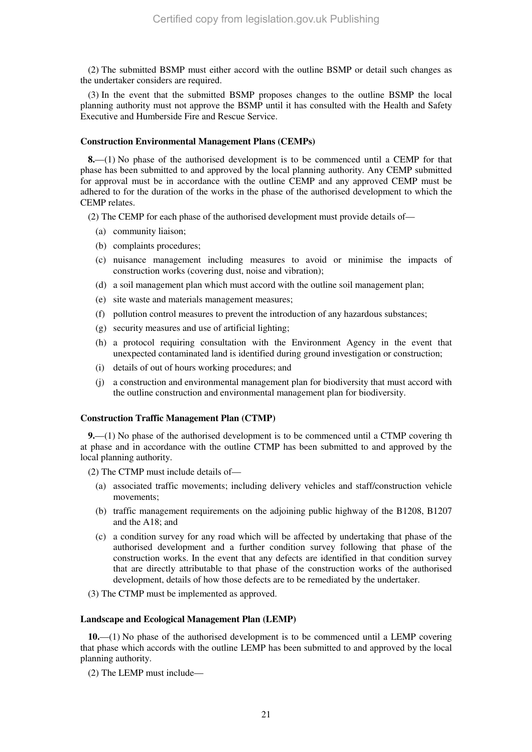(2) The submitted BSMP must either accord with the outline BSMP or detail such changes as the undertaker considers are required.

(3) In the event that the submitted BSMP proposes changes to the outline BSMP the local planning authority must not approve the BSMP until it has consulted with the Health and Safety Executive and Humberside Fire and Rescue Service.

#### **Construction Environmental Management Plans (CEMPs)**

**8.**—(1) No phase of the authorised development is to be commenced until a CEMP for that phase has been submitted to and approved by the local planning authority. Any CEMP submitted for approval must be in accordance with the outline CEMP and any approved CEMP must be adhered to for the duration of the works in the phase of the authorised development to which the CEMP relates.

(2) The CEMP for each phase of the authorised development must provide details of—

- (a) community liaison;
- (b) complaints procedures;
- (c) nuisance management including measures to avoid or minimise the impacts of construction works (covering dust, noise and vibration);
- (d) a soil management plan which must accord with the outline soil management plan;
- (e) site waste and materials management measures;
- (f) pollution control measures to prevent the introduction of any hazardous substances;
- (g) security measures and use of artificial lighting;
- (h) a protocol requiring consultation with the Environment Agency in the event that unexpected contaminated land is identified during ground investigation or construction;
- (i) details of out of hours working procedures; and
- (j) a construction and environmental management plan for biodiversity that must accord with the outline construction and environmental management plan for biodiversity.

#### **Construction Traffic Management Plan (CTMP)**

**9.**—(1) No phase of the authorised development is to be commenced until a CTMP covering th at phase and in accordance with the outline CTMP has been submitted to and approved by the local planning authority.

(2) The CTMP must include details of—

- (a) associated traffic movements; including delivery vehicles and staff/construction vehicle movements;
- (b) traffic management requirements on the adjoining public highway of the B1208, B1207 and the A18; and
- (c) a condition survey for any road which will be affected by undertaking that phase of the authorised development and a further condition survey following that phase of the construction works. In the event that any defects are identified in that condition survey that are directly attributable to that phase of the construction works of the authorised development, details of how those defects are to be remediated by the undertaker.
- (3) The CTMP must be implemented as approved.

#### **Landscape and Ecological Management Plan (LEMP)**

**10.**—(1) No phase of the authorised development is to be commenced until a LEMP covering that phase which accords with the outline LEMP has been submitted to and approved by the local planning authority.

(2) The LEMP must include—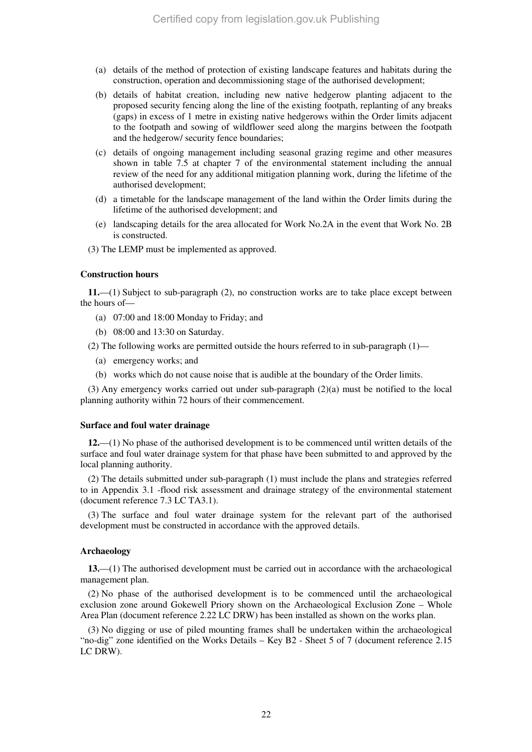- (a) details of the method of protection of existing landscape features and habitats during the construction, operation and decommissioning stage of the authorised development;
- (b) details of habitat creation, including new native hedgerow planting adjacent to the proposed security fencing along the line of the existing footpath, replanting of any breaks (gaps) in excess of 1 metre in existing native hedgerows within the Order limits adjacent to the footpath and sowing of wildflower seed along the margins between the footpath and the hedgerow/ security fence boundaries;
- (c) details of ongoing management including seasonal grazing regime and other measures shown in table 7.5 at chapter 7 of the environmental statement including the annual review of the need for any additional mitigation planning work, during the lifetime of the authorised development;
- (d) a timetable for the landscape management of the land within the Order limits during the lifetime of the authorised development; and
- (e) landscaping details for the area allocated for Work No.2A in the event that Work No. 2B is constructed.
- (3) The LEMP must be implemented as approved.

#### **Construction hours**

**11.**—(1) Subject to sub-paragraph (2), no construction works are to take place except between the hours of—

- (a) 07:00 and 18:00 Monday to Friday; and
- (b) 08:00 and 13:30 on Saturday.

(2) The following works are permitted outside the hours referred to in sub-paragraph (1)—

- (a) emergency works; and
- (b) works which do not cause noise that is audible at the boundary of the Order limits.

(3) Any emergency works carried out under sub-paragraph (2)(a) must be notified to the local planning authority within 72 hours of their commencement.

#### **Surface and foul water drainage**

**12.**—(1) No phase of the authorised development is to be commenced until written details of the surface and foul water drainage system for that phase have been submitted to and approved by the local planning authority.

(2) The details submitted under sub-paragraph (1) must include the plans and strategies referred to in Appendix 3.1 -flood risk assessment and drainage strategy of the environmental statement (document reference 7.3 LC TA3.1).

(3) The surface and foul water drainage system for the relevant part of the authorised development must be constructed in accordance with the approved details.

#### **Archaeology**

**13.**—(1) The authorised development must be carried out in accordance with the archaeological management plan.

(2) No phase of the authorised development is to be commenced until the archaeological exclusion zone around Gokewell Priory shown on the Archaeological Exclusion Zone – Whole Area Plan (document reference 2.22 LC DRW) has been installed as shown on the works plan.

(3) No digging or use of piled mounting frames shall be undertaken within the archaeological "no-dig" zone identified on the Works Details – Key B2 - Sheet 5 of 7 (document reference 2.15 LC DRW).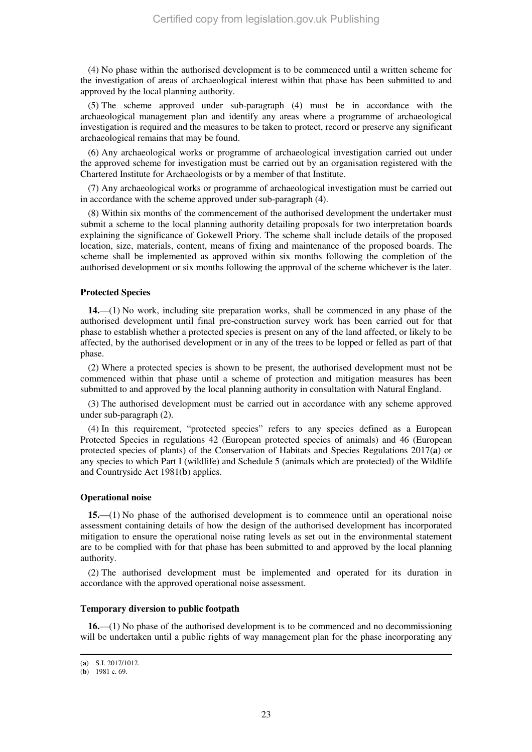(4) No phase within the authorised development is to be commenced until a written scheme for the investigation of areas of archaeological interest within that phase has been submitted to and approved by the local planning authority.

(5) The scheme approved under sub-paragraph (4) must be in accordance with the archaeological management plan and identify any areas where a programme of archaeological investigation is required and the measures to be taken to protect, record or preserve any significant archaeological remains that may be found.

(6) Any archaeological works or programme of archaeological investigation carried out under the approved scheme for investigation must be carried out by an organisation registered with the Chartered Institute for Archaeologists or by a member of that Institute.

(7) Any archaeological works or programme of archaeological investigation must be carried out in accordance with the scheme approved under sub-paragraph (4).

(8) Within six months of the commencement of the authorised development the undertaker must submit a scheme to the local planning authority detailing proposals for two interpretation boards explaining the significance of Gokewell Priory. The scheme shall include details of the proposed location, size, materials, content, means of fixing and maintenance of the proposed boards. The scheme shall be implemented as approved within six months following the completion of the authorised development or six months following the approval of the scheme whichever is the later.

#### **Protected Species**

**14.**—(1) No work, including site preparation works, shall be commenced in any phase of the authorised development until final pre-construction survey work has been carried out for that phase to establish whether a protected species is present on any of the land affected, or likely to be affected, by the authorised development or in any of the trees to be lopped or felled as part of that phase.

(2) Where a protected species is shown to be present, the authorised development must not be commenced within that phase until a scheme of protection and mitigation measures has been submitted to and approved by the local planning authority in consultation with Natural England.

(3) The authorised development must be carried out in accordance with any scheme approved under sub-paragraph (2).

(4) In this requirement, "protected species" refers to any species defined as a European Protected Species in regulations 42 (European protected species of animals) and 46 (European protected species of plants) of the Conservation of Habitats and Species Regulations 2017(**a**) or any species to which Part I (wildlife) and Schedule 5 (animals which are protected) of the Wildlife and Countryside Act 1981(**b**) applies.

#### **Operational noise**

**15.**—(1) No phase of the authorised development is to commence until an operational noise assessment containing details of how the design of the authorised development has incorporated mitigation to ensure the operational noise rating levels as set out in the environmental statement are to be complied with for that phase has been submitted to and approved by the local planning authority.

(2) The authorised development must be implemented and operated for its duration in accordance with the approved operational noise assessment.

#### **Temporary diversion to public footpath**

**16.**—(1) No phase of the authorised development is to be commenced and no decommissioning will be undertaken until a public rights of way management plan for the phase incorporating any

<sup>(</sup>**a**) S.I. 2017/1012.

<sup>(</sup>**b**) 1981 c. 69.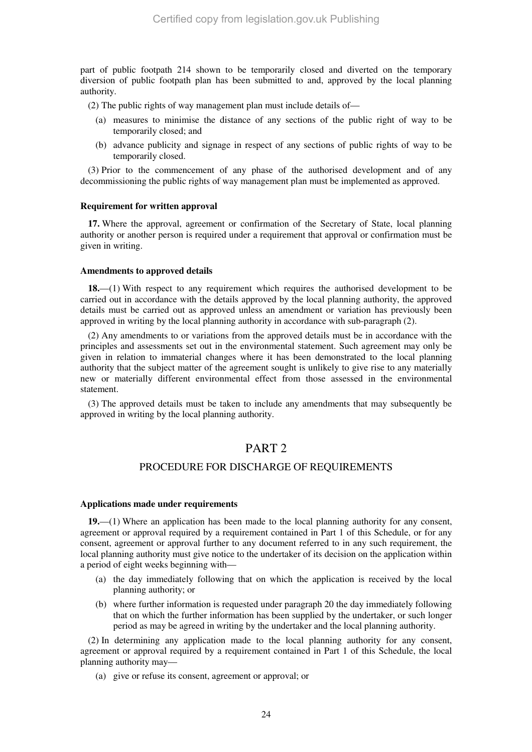part of public footpath 214 shown to be temporarily closed and diverted on the temporary diversion of public footpath plan has been submitted to and, approved by the local planning authority.

(2) The public rights of way management plan must include details of—

- (a) measures to minimise the distance of any sections of the public right of way to be temporarily closed; and
- (b) advance publicity and signage in respect of any sections of public rights of way to be temporarily closed.

(3) Prior to the commencement of any phase of the authorised development and of any decommissioning the public rights of way management plan must be implemented as approved.

#### **Requirement for written approval**

**17.** Where the approval, agreement or confirmation of the Secretary of State, local planning authority or another person is required under a requirement that approval or confirmation must be given in writing.

#### **Amendments to approved details**

**18.**—(1) With respect to any requirement which requires the authorised development to be carried out in accordance with the details approved by the local planning authority, the approved details must be carried out as approved unless an amendment or variation has previously been approved in writing by the local planning authority in accordance with sub-paragraph (2).

(2) Any amendments to or variations from the approved details must be in accordance with the principles and assessments set out in the environmental statement. Such agreement may only be given in relation to immaterial changes where it has been demonstrated to the local planning authority that the subject matter of the agreement sought is unlikely to give rise to any materially new or materially different environmental effect from those assessed in the environmental statement.

(3) The approved details must be taken to include any amendments that may subsequently be approved in writing by the local planning authority.

### PART 2

#### PROCEDURE FOR DISCHARGE OF REQUIREMENTS

#### **Applications made under requirements**

**19.**—(1) Where an application has been made to the local planning authority for any consent, agreement or approval required by a requirement contained in Part 1 of this Schedule, or for any consent, agreement or approval further to any document referred to in any such requirement, the local planning authority must give notice to the undertaker of its decision on the application within a period of eight weeks beginning with—

- (a) the day immediately following that on which the application is received by the local planning authority; or
- (b) where further information is requested under paragraph 20 the day immediately following that on which the further information has been supplied by the undertaker, or such longer period as may be agreed in writing by the undertaker and the local planning authority.

(2) In determining any application made to the local planning authority for any consent, agreement or approval required by a requirement contained in Part 1 of this Schedule, the local planning authority may—

(a) give or refuse its consent, agreement or approval; or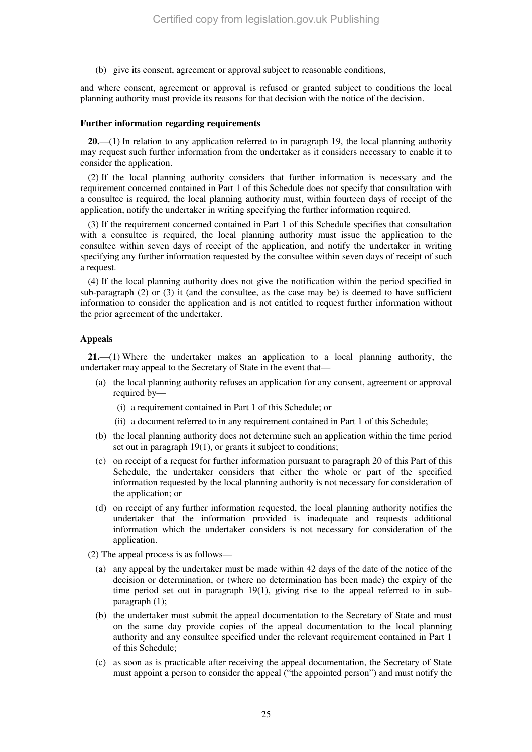(b) give its consent, agreement or approval subject to reasonable conditions,

and where consent, agreement or approval is refused or granted subject to conditions the local planning authority must provide its reasons for that decision with the notice of the decision.

#### **Further information regarding requirements**

**20.**—(1) In relation to any application referred to in paragraph 19, the local planning authority may request such further information from the undertaker as it considers necessary to enable it to consider the application.

(2) If the local planning authority considers that further information is necessary and the requirement concerned contained in Part 1 of this Schedule does not specify that consultation with a consultee is required, the local planning authority must, within fourteen days of receipt of the application, notify the undertaker in writing specifying the further information required.

(3) If the requirement concerned contained in Part 1 of this Schedule specifies that consultation with a consultee is required, the local planning authority must issue the application to the consultee within seven days of receipt of the application, and notify the undertaker in writing specifying any further information requested by the consultee within seven days of receipt of such a request.

(4) If the local planning authority does not give the notification within the period specified in sub-paragraph  $(2)$  or  $(3)$  it (and the consultee, as the case may be) is deemed to have sufficient information to consider the application and is not entitled to request further information without the prior agreement of the undertaker.

#### **Appeals**

**21.**—(1) Where the undertaker makes an application to a local planning authority, the undertaker may appeal to the Secretary of State in the event that—

- (a) the local planning authority refuses an application for any consent, agreement or approval required by—
	- (i) a requirement contained in Part 1 of this Schedule; or
	- (ii) a document referred to in any requirement contained in Part 1 of this Schedule;
- (b) the local planning authority does not determine such an application within the time period set out in paragraph 19(1), or grants it subject to conditions;
- (c) on receipt of a request for further information pursuant to paragraph 20 of this Part of this Schedule, the undertaker considers that either the whole or part of the specified information requested by the local planning authority is not necessary for consideration of the application; or
- (d) on receipt of any further information requested, the local planning authority notifies the undertaker that the information provided is inadequate and requests additional information which the undertaker considers is not necessary for consideration of the application.
- (2) The appeal process is as follows—
	- (a) any appeal by the undertaker must be made within 42 days of the date of the notice of the decision or determination, or (where no determination has been made) the expiry of the time period set out in paragraph 19(1), giving rise to the appeal referred to in subparagraph (1);
	- (b) the undertaker must submit the appeal documentation to the Secretary of State and must on the same day provide copies of the appeal documentation to the local planning authority and any consultee specified under the relevant requirement contained in Part 1 of this Schedule;
	- (c) as soon as is practicable after receiving the appeal documentation, the Secretary of State must appoint a person to consider the appeal ("the appointed person") and must notify the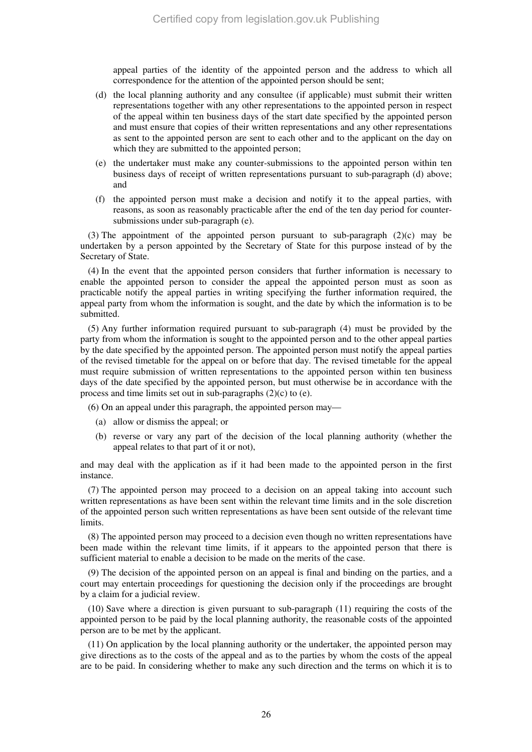appeal parties of the identity of the appointed person and the address to which all correspondence for the attention of the appointed person should be sent;

- (d) the local planning authority and any consultee (if applicable) must submit their written representations together with any other representations to the appointed person in respect of the appeal within ten business days of the start date specified by the appointed person and must ensure that copies of their written representations and any other representations as sent to the appointed person are sent to each other and to the applicant on the day on which they are submitted to the appointed person;
- (e) the undertaker must make any counter-submissions to the appointed person within ten business days of receipt of written representations pursuant to sub-paragraph (d) above; and
- (f) the appointed person must make a decision and notify it to the appeal parties, with reasons, as soon as reasonably practicable after the end of the ten day period for countersubmissions under sub-paragraph (e).

(3) The appointment of the appointed person pursuant to sub-paragraph  $(2)(c)$  may be undertaken by a person appointed by the Secretary of State for this purpose instead of by the Secretary of State.

(4) In the event that the appointed person considers that further information is necessary to enable the appointed person to consider the appeal the appointed person must as soon as practicable notify the appeal parties in writing specifying the further information required, the appeal party from whom the information is sought, and the date by which the information is to be submitted.

(5) Any further information required pursuant to sub-paragraph (4) must be provided by the party from whom the information is sought to the appointed person and to the other appeal parties by the date specified by the appointed person. The appointed person must notify the appeal parties of the revised timetable for the appeal on or before that day. The revised timetable for the appeal must require submission of written representations to the appointed person within ten business days of the date specified by the appointed person, but must otherwise be in accordance with the process and time limits set out in sub-paragraphs (2)(c) to (e).

(6) On an appeal under this paragraph, the appointed person may—

- (a) allow or dismiss the appeal; or
- (b) reverse or vary any part of the decision of the local planning authority (whether the appeal relates to that part of it or not),

and may deal with the application as if it had been made to the appointed person in the first instance.

(7) The appointed person may proceed to a decision on an appeal taking into account such written representations as have been sent within the relevant time limits and in the sole discretion of the appointed person such written representations as have been sent outside of the relevant time limits.

(8) The appointed person may proceed to a decision even though no written representations have been made within the relevant time limits, if it appears to the appointed person that there is sufficient material to enable a decision to be made on the merits of the case.

(9) The decision of the appointed person on an appeal is final and binding on the parties, and a court may entertain proceedings for questioning the decision only if the proceedings are brought by a claim for a judicial review.

(10) Save where a direction is given pursuant to sub-paragraph (11) requiring the costs of the appointed person to be paid by the local planning authority, the reasonable costs of the appointed person are to be met by the applicant.

(11) On application by the local planning authority or the undertaker, the appointed person may give directions as to the costs of the appeal and as to the parties by whom the costs of the appeal are to be paid. In considering whether to make any such direction and the terms on which it is to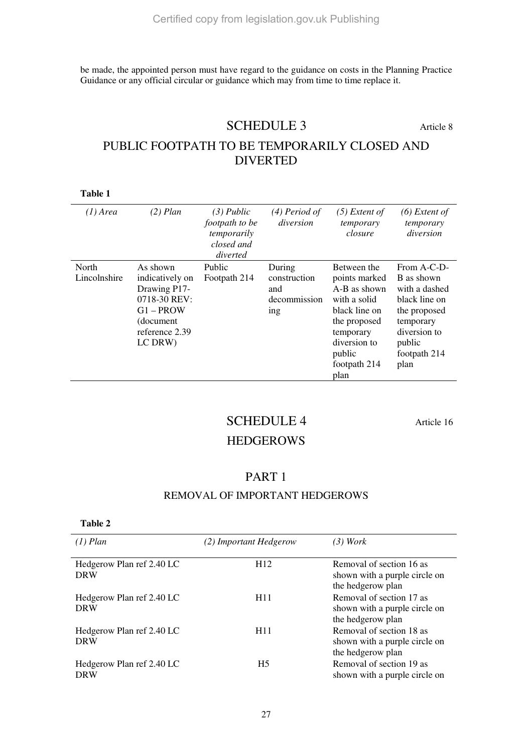be made, the appointed person must have regard to the guidance on costs in the Planning Practice Guidance or any official circular or guidance which may from time to time replace it.

# SCHEDULE 3 Article 8

# PUBLIC FOOTPATH TO BE TEMPORARILY CLOSED AND DIVERTED

**Table 1** 

| $(1)$ Area            | $(2)$ Plan                                                                                                            | $(3)$ Public<br>footpath to be<br>temporarily<br>closed and<br>diverted | (4) Period of<br>diversion                                      | $(5)$ Extent of<br>temporary<br>closure                                                                                                                      | $(6)$ Extent of<br>temporary<br>diversion                                                                                                  |
|-----------------------|-----------------------------------------------------------------------------------------------------------------------|-------------------------------------------------------------------------|-----------------------------------------------------------------|--------------------------------------------------------------------------------------------------------------------------------------------------------------|--------------------------------------------------------------------------------------------------------------------------------------------|
| North<br>Lincolnshire | As shown<br>indicatively on<br>Drawing P17-<br>0718-30 REV:<br>$G1 - PROW$<br>(document)<br>reference 2.39<br>LC DRW) | Public<br>Footpath 214                                                  | During<br>construction<br>and<br>decommission<br>1 <sub>n</sub> | Between the<br>points marked<br>A-B as shown<br>with a solid<br>black line on<br>the proposed<br>temporary<br>diversion to<br>public<br>footpath 214<br>plan | From A-C-D-<br>B as shown<br>with a dashed<br>black line on<br>the proposed<br>temporary<br>diversion to<br>public<br>footpath 214<br>plan |

# SCHEDULE 4 Article 16

### **HEDGEROWS**

### PART 1

### REMOVAL OF IMPORTANT HEDGEROWS

**Table 2** 

| $(1)$ Plan                              | (2) Important Hedgerow | (3) Work                                                                       |
|-----------------------------------------|------------------------|--------------------------------------------------------------------------------|
| Hedgerow Plan ref 2.40 LC<br><b>DRW</b> | H <sub>12</sub>        | Removal of section 16 as<br>shown with a purple circle on<br>the hedgerow plan |
| Hedgerow Plan ref 2.40 LC<br><b>DRW</b> | H <sub>11</sub>        | Removal of section 17 as<br>shown with a purple circle on<br>the hedgerow plan |
| Hedgerow Plan ref 2.40 LC<br><b>DRW</b> | H <sub>11</sub>        | Removal of section 18 as<br>shown with a purple circle on<br>the hedgerow plan |
| Hedgerow Plan ref 2.40 LC<br><b>DRW</b> | H5                     | Removal of section 19 as<br>shown with a purple circle on                      |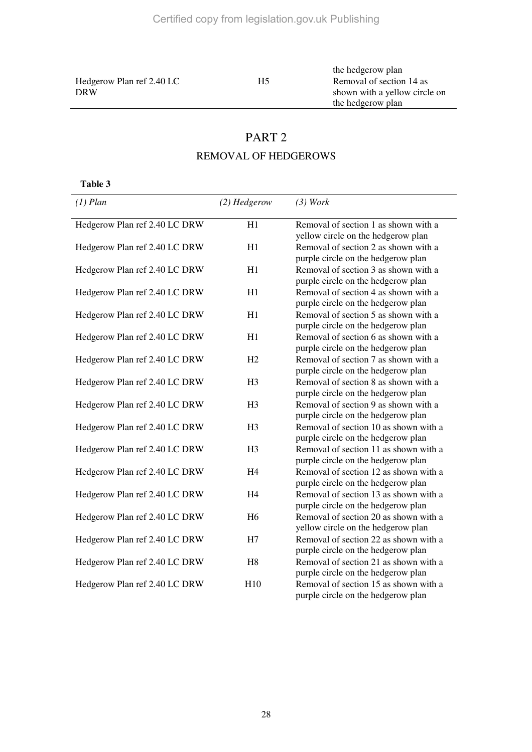Hedgerow Plan ref 2.40 LC DRW

the hedgerow plan

H5 Removal of section 14 as shown with a yellow circle on the hedgerow plan

# PART 2 REMOVAL OF HEDGEROWS

**Table 3** 

| $(1)$ Plan                    | $(2)$ Hedgerow  | (3) Work                                                                    |
|-------------------------------|-----------------|-----------------------------------------------------------------------------|
| Hedgerow Plan ref 2.40 LC DRW | H1              | Removal of section 1 as shown with a<br>yellow circle on the hedgerow plan  |
| Hedgerow Plan ref 2.40 LC DRW | H1              | Removal of section 2 as shown with a<br>purple circle on the hedgerow plan  |
| Hedgerow Plan ref 2.40 LC DRW | H1              | Removal of section 3 as shown with a<br>purple circle on the hedgerow plan  |
| Hedgerow Plan ref 2.40 LC DRW | H1              | Removal of section 4 as shown with a<br>purple circle on the hedgerow plan  |
| Hedgerow Plan ref 2.40 LC DRW | H1              | Removal of section 5 as shown with a<br>purple circle on the hedgerow plan  |
| Hedgerow Plan ref 2.40 LC DRW | H1              | Removal of section 6 as shown with a<br>purple circle on the hedgerow plan  |
| Hedgerow Plan ref 2.40 LC DRW | H2              | Removal of section 7 as shown with a<br>purple circle on the hedgerow plan  |
| Hedgerow Plan ref 2.40 LC DRW | H <sub>3</sub>  | Removal of section 8 as shown with a<br>purple circle on the hedgerow plan  |
| Hedgerow Plan ref 2.40 LC DRW | H <sub>3</sub>  | Removal of section 9 as shown with a<br>purple circle on the hedgerow plan  |
| Hedgerow Plan ref 2.40 LC DRW | H <sub>3</sub>  | Removal of section 10 as shown with a<br>purple circle on the hedgerow plan |
| Hedgerow Plan ref 2.40 LC DRW | H <sub>3</sub>  | Removal of section 11 as shown with a<br>purple circle on the hedgerow plan |
| Hedgerow Plan ref 2.40 LC DRW | H <sub>4</sub>  | Removal of section 12 as shown with a<br>purple circle on the hedgerow plan |
| Hedgerow Plan ref 2.40 LC DRW | H <sub>4</sub>  | Removal of section 13 as shown with a<br>purple circle on the hedgerow plan |
| Hedgerow Plan ref 2.40 LC DRW | H <sub>6</sub>  | Removal of section 20 as shown with a<br>yellow circle on the hedgerow plan |
| Hedgerow Plan ref 2.40 LC DRW | H7              | Removal of section 22 as shown with a<br>purple circle on the hedgerow plan |
| Hedgerow Plan ref 2.40 LC DRW | H8              | Removal of section 21 as shown with a<br>purple circle on the hedgerow plan |
| Hedgerow Plan ref 2.40 LC DRW | H <sub>10</sub> | Removal of section 15 as shown with a<br>purple circle on the hedgerow plan |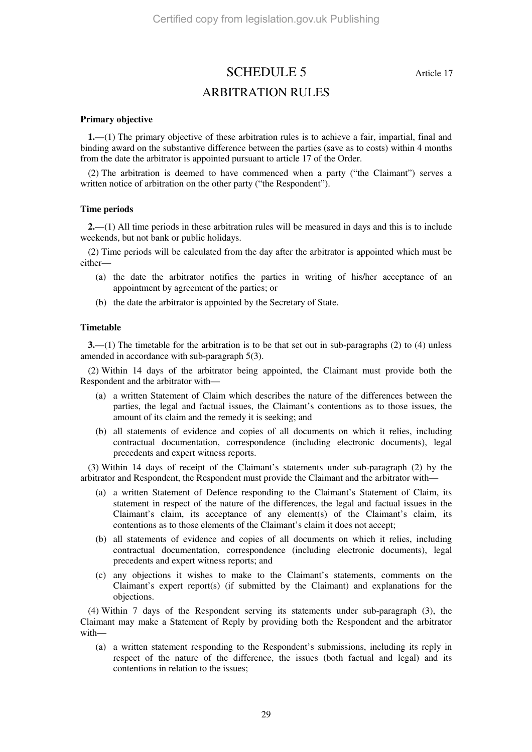SCHEDULE 5 Article 17 ARBITRATION RULES

#### **Primary objective**

**1.**—(1) The primary objective of these arbitration rules is to achieve a fair, impartial, final and binding award on the substantive difference between the parties (save as to costs) within 4 months from the date the arbitrator is appointed pursuant to article 17 of the Order.

(2) The arbitration is deemed to have commenced when a party ("the Claimant") serves a written notice of arbitration on the other party ("the Respondent").

#### **Time periods**

**2.**—(1) All time periods in these arbitration rules will be measured in days and this is to include weekends, but not bank or public holidays.

(2) Time periods will be calculated from the day after the arbitrator is appointed which must be either—

- (a) the date the arbitrator notifies the parties in writing of his/her acceptance of an appointment by agreement of the parties; or
- (b) the date the arbitrator is appointed by the Secretary of State.

#### **Timetable**

**3.**—(1) The timetable for the arbitration is to be that set out in sub-paragraphs (2) to (4) unless amended in accordance with sub-paragraph 5(3).

(2) Within 14 days of the arbitrator being appointed, the Claimant must provide both the Respondent and the arbitrator with—

- (a) a written Statement of Claim which describes the nature of the differences between the parties, the legal and factual issues, the Claimant's contentions as to those issues, the amount of its claim and the remedy it is seeking; and
- (b) all statements of evidence and copies of all documents on which it relies, including contractual documentation, correspondence (including electronic documents), legal precedents and expert witness reports.

(3) Within 14 days of receipt of the Claimant's statements under sub-paragraph (2) by the arbitrator and Respondent, the Respondent must provide the Claimant and the arbitrator with—

- (a) a written Statement of Defence responding to the Claimant's Statement of Claim, its statement in respect of the nature of the differences, the legal and factual issues in the Claimant's claim, its acceptance of any element(s) of the Claimant's claim, its contentions as to those elements of the Claimant's claim it does not accept;
- (b) all statements of evidence and copies of all documents on which it relies, including contractual documentation, correspondence (including electronic documents), legal precedents and expert witness reports; and
- (c) any objections it wishes to make to the Claimant's statements, comments on the Claimant's expert report(s) (if submitted by the Claimant) and explanations for the objections.

(4) Within 7 days of the Respondent serving its statements under sub-paragraph (3), the Claimant may make a Statement of Reply by providing both the Respondent and the arbitrator with—

(a) a written statement responding to the Respondent's submissions, including its reply in respect of the nature of the difference, the issues (both factual and legal) and its contentions in relation to the issues;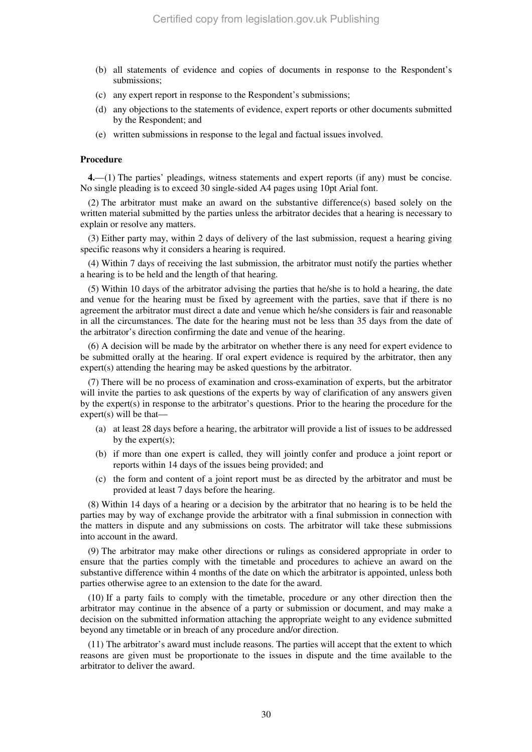- (b) all statements of evidence and copies of documents in response to the Respondent's submissions;
- (c) any expert report in response to the Respondent's submissions;
- (d) any objections to the statements of evidence, expert reports or other documents submitted by the Respondent; and
- (e) written submissions in response to the legal and factual issues involved.

#### **Procedure**

**4.**—(1) The parties' pleadings, witness statements and expert reports (if any) must be concise. No single pleading is to exceed 30 single-sided A4 pages using 10pt Arial font.

(2) The arbitrator must make an award on the substantive difference(s) based solely on the written material submitted by the parties unless the arbitrator decides that a hearing is necessary to explain or resolve any matters.

(3) Either party may, within 2 days of delivery of the last submission, request a hearing giving specific reasons why it considers a hearing is required.

(4) Within 7 days of receiving the last submission, the arbitrator must notify the parties whether a hearing is to be held and the length of that hearing.

(5) Within 10 days of the arbitrator advising the parties that he/she is to hold a hearing, the date and venue for the hearing must be fixed by agreement with the parties, save that if there is no agreement the arbitrator must direct a date and venue which he/she considers is fair and reasonable in all the circumstances. The date for the hearing must not be less than 35 days from the date of the arbitrator's direction confirming the date and venue of the hearing.

(6) A decision will be made by the arbitrator on whether there is any need for expert evidence to be submitted orally at the hearing. If oral expert evidence is required by the arbitrator, then any expert(s) attending the hearing may be asked questions by the arbitrator.

(7) There will be no process of examination and cross-examination of experts, but the arbitrator will invite the parties to ask questions of the experts by way of clarification of any answers given by the expert(s) in response to the arbitrator's questions. Prior to the hearing the procedure for the expert(s) will be that—

- (a) at least 28 days before a hearing, the arbitrator will provide a list of issues to be addressed by the expert $(s)$ ;
- (b) if more than one expert is called, they will jointly confer and produce a joint report or reports within 14 days of the issues being provided; and
- (c) the form and content of a joint report must be as directed by the arbitrator and must be provided at least 7 days before the hearing.

(8) Within 14 days of a hearing or a decision by the arbitrator that no hearing is to be held the parties may by way of exchange provide the arbitrator with a final submission in connection with the matters in dispute and any submissions on costs. The arbitrator will take these submissions into account in the award.

(9) The arbitrator may make other directions or rulings as considered appropriate in order to ensure that the parties comply with the timetable and procedures to achieve an award on the substantive difference within 4 months of the date on which the arbitrator is appointed, unless both parties otherwise agree to an extension to the date for the award.

(10) If a party fails to comply with the timetable, procedure or any other direction then the arbitrator may continue in the absence of a party or submission or document, and may make a decision on the submitted information attaching the appropriate weight to any evidence submitted beyond any timetable or in breach of any procedure and/or direction.

(11) The arbitrator's award must include reasons. The parties will accept that the extent to which reasons are given must be proportionate to the issues in dispute and the time available to the arbitrator to deliver the award.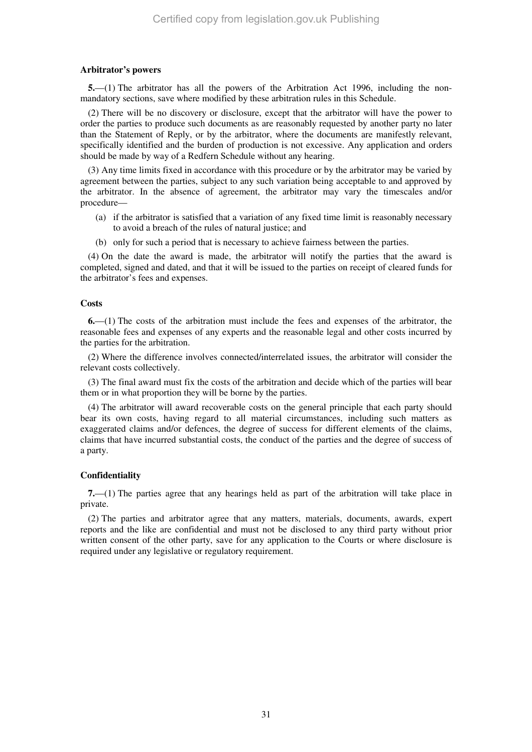#### **Arbitrator's powers**

**5.**—(1) The arbitrator has all the powers of the Arbitration Act 1996, including the nonmandatory sections, save where modified by these arbitration rules in this Schedule.

(2) There will be no discovery or disclosure, except that the arbitrator will have the power to order the parties to produce such documents as are reasonably requested by another party no later than the Statement of Reply, or by the arbitrator, where the documents are manifestly relevant, specifically identified and the burden of production is not excessive. Any application and orders should be made by way of a Redfern Schedule without any hearing.

(3) Any time limits fixed in accordance with this procedure or by the arbitrator may be varied by agreement between the parties, subject to any such variation being acceptable to and approved by the arbitrator. In the absence of agreement, the arbitrator may vary the timescales and/or procedure—

- (a) if the arbitrator is satisfied that a variation of any fixed time limit is reasonably necessary to avoid a breach of the rules of natural justice; and
- (b) only for such a period that is necessary to achieve fairness between the parties.

(4) On the date the award is made, the arbitrator will notify the parties that the award is completed, signed and dated, and that it will be issued to the parties on receipt of cleared funds for the arbitrator's fees and expenses.

#### **Costs**

**6.**—(1) The costs of the arbitration must include the fees and expenses of the arbitrator, the reasonable fees and expenses of any experts and the reasonable legal and other costs incurred by the parties for the arbitration.

(2) Where the difference involves connected/interrelated issues, the arbitrator will consider the relevant costs collectively.

(3) The final award must fix the costs of the arbitration and decide which of the parties will bear them or in what proportion they will be borne by the parties.

(4) The arbitrator will award recoverable costs on the general principle that each party should bear its own costs, having regard to all material circumstances, including such matters as exaggerated claims and/or defences, the degree of success for different elements of the claims, claims that have incurred substantial costs, the conduct of the parties and the degree of success of a party.

#### **Confidentiality**

**7.**—(1) The parties agree that any hearings held as part of the arbitration will take place in private.

(2) The parties and arbitrator agree that any matters, materials, documents, awards, expert reports and the like are confidential and must not be disclosed to any third party without prior written consent of the other party, save for any application to the Courts or where disclosure is required under any legislative or regulatory requirement.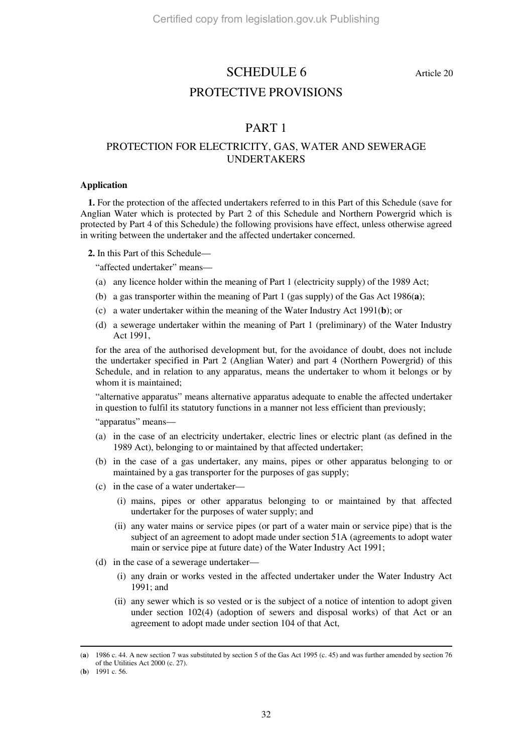### SCHEDULE 6 Article 20

### PROTECTIVE PROVISIONS

### PART 1

### PROTECTION FOR ELECTRICITY, GAS, WATER AND SEWERAGE UNDERTAKERS

#### **Application**

**1.** For the protection of the affected undertakers referred to in this Part of this Schedule (save for Anglian Water which is protected by Part 2 of this Schedule and Northern Powergrid which is protected by Part 4 of this Schedule) the following provisions have effect, unless otherwise agreed in writing between the undertaker and the affected undertaker concerned.

**2.** In this Part of this Schedule—

"affected undertaker" means—

- (a) any licence holder within the meaning of Part 1 (electricity supply) of the 1989 Act;
- (b) a gas transporter within the meaning of Part 1 (gas supply) of the Gas Act 1986(**a**);
- (c) a water undertaker within the meaning of the Water Industry Act 1991(**b**); or
- (d) a sewerage undertaker within the meaning of Part 1 (preliminary) of the Water Industry Act 1991,

for the area of the authorised development but, for the avoidance of doubt, does not include the undertaker specified in Part 2 (Anglian Water) and part 4 (Northern Powergrid) of this Schedule, and in relation to any apparatus, means the undertaker to whom it belongs or by whom it is maintained;

"alternative apparatus" means alternative apparatus adequate to enable the affected undertaker in question to fulfil its statutory functions in a manner not less efficient than previously;

"apparatus" means—

- (a) in the case of an electricity undertaker, electric lines or electric plant (as defined in the 1989 Act), belonging to or maintained by that affected undertaker;
- (b) in the case of a gas undertaker, any mains, pipes or other apparatus belonging to or maintained by a gas transporter for the purposes of gas supply;
- (c) in the case of a water undertaker—
	- (i) mains, pipes or other apparatus belonging to or maintained by that affected undertaker for the purposes of water supply; and
	- (ii) any water mains or service pipes (or part of a water main or service pipe) that is the subject of an agreement to adopt made under section 51A (agreements to adopt water main or service pipe at future date) of the Water Industry Act 1991;
- (d) in the case of a sewerage undertaker—
	- (i) any drain or works vested in the affected undertaker under the Water Industry Act 1991; and
	- (ii) any sewer which is so vested or is the subject of a notice of intention to adopt given under section 102(4) (adoption of sewers and disposal works) of that Act or an agreement to adopt made under section 104 of that Act,

<sup>(</sup>**a**) 1986 c. 44. A new section 7 was substituted by section 5 of the Gas Act 1995 (c. 45) and was further amended by section 76 of the Utilities Act 2000 (c. 27).

<sup>(</sup>**b**) 1991 c. 56.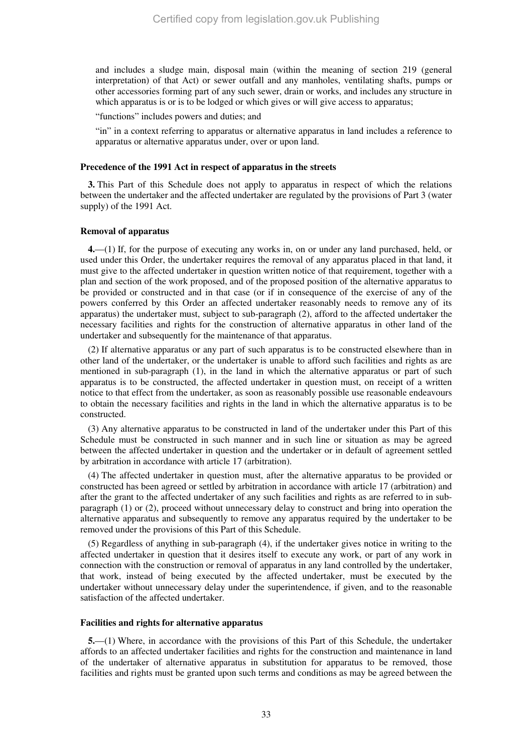and includes a sludge main, disposal main (within the meaning of section 219 (general interpretation) of that Act) or sewer outfall and any manholes, ventilating shafts, pumps or other accessories forming part of any such sewer, drain or works, and includes any structure in which apparatus is or is to be lodged or which gives or will give access to apparatus;

"functions" includes powers and duties; and

"in" in a context referring to apparatus or alternative apparatus in land includes a reference to apparatus or alternative apparatus under, over or upon land.

#### **Precedence of the 1991 Act in respect of apparatus in the streets**

**3.** This Part of this Schedule does not apply to apparatus in respect of which the relations between the undertaker and the affected undertaker are regulated by the provisions of Part 3 (water supply) of the 1991 Act.

#### **Removal of apparatus**

**4.**—(1) If, for the purpose of executing any works in, on or under any land purchased, held, or used under this Order, the undertaker requires the removal of any apparatus placed in that land, it must give to the affected undertaker in question written notice of that requirement, together with a plan and section of the work proposed, and of the proposed position of the alternative apparatus to be provided or constructed and in that case (or if in consequence of the exercise of any of the powers conferred by this Order an affected undertaker reasonably needs to remove any of its apparatus) the undertaker must, subject to sub-paragraph (2), afford to the affected undertaker the necessary facilities and rights for the construction of alternative apparatus in other land of the undertaker and subsequently for the maintenance of that apparatus.

(2) If alternative apparatus or any part of such apparatus is to be constructed elsewhere than in other land of the undertaker, or the undertaker is unable to afford such facilities and rights as are mentioned in sub-paragraph (1), in the land in which the alternative apparatus or part of such apparatus is to be constructed, the affected undertaker in question must, on receipt of a written notice to that effect from the undertaker, as soon as reasonably possible use reasonable endeavours to obtain the necessary facilities and rights in the land in which the alternative apparatus is to be constructed.

(3) Any alternative apparatus to be constructed in land of the undertaker under this Part of this Schedule must be constructed in such manner and in such line or situation as may be agreed between the affected undertaker in question and the undertaker or in default of agreement settled by arbitration in accordance with article 17 (arbitration).

(4) The affected undertaker in question must, after the alternative apparatus to be provided or constructed has been agreed or settled by arbitration in accordance with article 17 (arbitration) and after the grant to the affected undertaker of any such facilities and rights as are referred to in subparagraph (1) or (2), proceed without unnecessary delay to construct and bring into operation the alternative apparatus and subsequently to remove any apparatus required by the undertaker to be removed under the provisions of this Part of this Schedule.

(5) Regardless of anything in sub-paragraph (4), if the undertaker gives notice in writing to the affected undertaker in question that it desires itself to execute any work, or part of any work in connection with the construction or removal of apparatus in any land controlled by the undertaker, that work, instead of being executed by the affected undertaker, must be executed by the undertaker without unnecessary delay under the superintendence, if given, and to the reasonable satisfaction of the affected undertaker.

#### **Facilities and rights for alternative apparatus**

**5.**—(1) Where, in accordance with the provisions of this Part of this Schedule, the undertaker affords to an affected undertaker facilities and rights for the construction and maintenance in land of the undertaker of alternative apparatus in substitution for apparatus to be removed, those facilities and rights must be granted upon such terms and conditions as may be agreed between the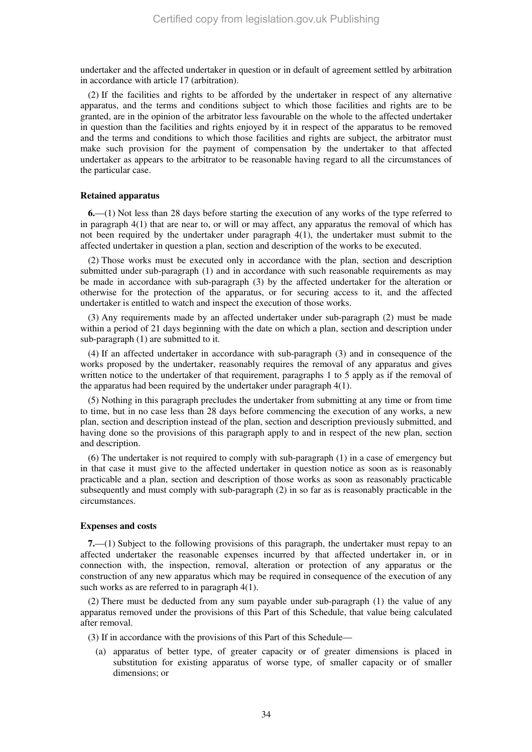undertaker and the affected undertaker in question or in default of agreement settled by arbitration in accordance with article 17 (arbitration).

(2) If the facilities and rights to be afforded by the undertaker in respect of any alternative apparatus, and the terms and conditions subject to which those facilities and rights are to be granted, are in the opinion of the arbitrator less favourable on the whole to the affected undertaker in question than the facilities and rights enjoyed by it in respect of the apparatus to be removed and the terms and conditions to which those facilities and rights are subject, the arbitrator must make such provision for the payment of compensation by the undertaker to that affected undertaker as appears to the arbitrator to be reasonable having regard to all the circumstances of the particular case.

#### **Retained apparatus**

**6.**—(1) Not less than 28 days before starting the execution of any works of the type referred to in paragraph  $4(1)$  that are near to, or will or may affect, any apparatus the removal of which has not been required by the undertaker under paragraph 4(1), the undertaker must submit to the affected undertaker in question a plan, section and description of the works to be executed.

(2) Those works must be executed only in accordance with the plan, section and description submitted under sub-paragraph (1) and in accordance with such reasonable requirements as may be made in accordance with sub-paragraph (3) by the affected undertaker for the alteration or otherwise for the protection of the apparatus, or for securing access to it, and the affected undertaker is entitled to watch and inspect the execution of those works.

(3) Any requirements made by an affected undertaker under sub-paragraph (2) must be made within a period of 21 days beginning with the date on which a plan, section and description under sub-paragraph (1) are submitted to it.

(4) If an affected undertaker in accordance with sub-paragraph (3) and in consequence of the works proposed by the undertaker, reasonably requires the removal of any apparatus and gives written notice to the undertaker of that requirement, paragraphs 1 to 5 apply as if the removal of the apparatus had been required by the undertaker under paragraph 4(1).

(5) Nothing in this paragraph precludes the undertaker from submitting at any time or from time to time, but in no case less than 28 days before commencing the execution of any works, a new plan, section and description instead of the plan, section and description previously submitted, and having done so the provisions of this paragraph apply to and in respect of the new plan, section and description.

(6) The undertaker is not required to comply with sub-paragraph (1) in a case of emergency but in that case it must give to the affected undertaker in question notice as soon as is reasonably practicable and a plan, section and description of those works as soon as reasonably practicable subsequently and must comply with sub-paragraph (2) in so far as is reasonably practicable in the circumstances.

#### **Expenses and costs**

**7.**—(1) Subject to the following provisions of this paragraph, the undertaker must repay to an affected undertaker the reasonable expenses incurred by that affected undertaker in, or in connection with, the inspection, removal, alteration or protection of any apparatus or the construction of any new apparatus which may be required in consequence of the execution of any such works as are referred to in paragraph 4(1).

(2) There must be deducted from any sum payable under sub-paragraph (1) the value of any apparatus removed under the provisions of this Part of this Schedule, that value being calculated after removal.

(3) If in accordance with the provisions of this Part of this Schedule—

(a) apparatus of better type, of greater capacity or of greater dimensions is placed in substitution for existing apparatus of worse type, of smaller capacity or of smaller dimensions; or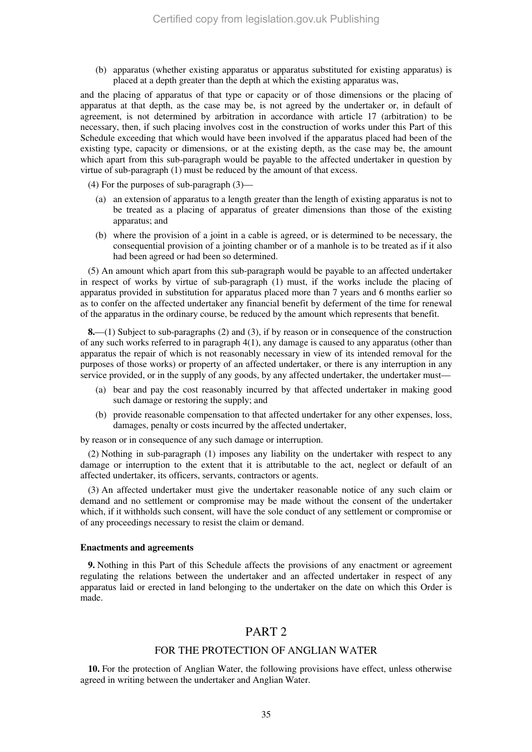(b) apparatus (whether existing apparatus or apparatus substituted for existing apparatus) is placed at a depth greater than the depth at which the existing apparatus was,

and the placing of apparatus of that type or capacity or of those dimensions or the placing of apparatus at that depth, as the case may be, is not agreed by the undertaker or, in default of agreement, is not determined by arbitration in accordance with article 17 (arbitration) to be necessary, then, if such placing involves cost in the construction of works under this Part of this Schedule exceeding that which would have been involved if the apparatus placed had been of the existing type, capacity or dimensions, or at the existing depth, as the case may be, the amount which apart from this sub-paragraph would be payable to the affected undertaker in question by virtue of sub-paragraph (1) must be reduced by the amount of that excess.

(4) For the purposes of sub-paragraph (3)—

- (a) an extension of apparatus to a length greater than the length of existing apparatus is not to be treated as a placing of apparatus of greater dimensions than those of the existing apparatus; and
- (b) where the provision of a joint in a cable is agreed, or is determined to be necessary, the consequential provision of a jointing chamber or of a manhole is to be treated as if it also had been agreed or had been so determined.

(5) An amount which apart from this sub-paragraph would be payable to an affected undertaker in respect of works by virtue of sub-paragraph (1) must, if the works include the placing of apparatus provided in substitution for apparatus placed more than 7 years and 6 months earlier so as to confer on the affected undertaker any financial benefit by deferment of the time for renewal of the apparatus in the ordinary course, be reduced by the amount which represents that benefit.

**8.**—(1) Subject to sub-paragraphs (2) and (3), if by reason or in consequence of the construction of any such works referred to in paragraph 4(1), any damage is caused to any apparatus (other than apparatus the repair of which is not reasonably necessary in view of its intended removal for the purposes of those works) or property of an affected undertaker, or there is any interruption in any service provided, or in the supply of any goods, by any affected undertaker, the undertaker must—

- (a) bear and pay the cost reasonably incurred by that affected undertaker in making good such damage or restoring the supply; and
- (b) provide reasonable compensation to that affected undertaker for any other expenses, loss, damages, penalty or costs incurred by the affected undertaker,

by reason or in consequence of any such damage or interruption.

(2) Nothing in sub-paragraph (1) imposes any liability on the undertaker with respect to any damage or interruption to the extent that it is attributable to the act, neglect or default of an affected undertaker, its officers, servants, contractors or agents.

(3) An affected undertaker must give the undertaker reasonable notice of any such claim or demand and no settlement or compromise may be made without the consent of the undertaker which, if it withholds such consent, will have the sole conduct of any settlement or compromise or of any proceedings necessary to resist the claim or demand.

#### **Enactments and agreements**

**9.** Nothing in this Part of this Schedule affects the provisions of any enactment or agreement regulating the relations between the undertaker and an affected undertaker in respect of any apparatus laid or erected in land belonging to the undertaker on the date on which this Order is made.

### PART<sub>2</sub>

#### FOR THE PROTECTION OF ANGLIAN WATER

**10.** For the protection of Anglian Water, the following provisions have effect, unless otherwise agreed in writing between the undertaker and Anglian Water.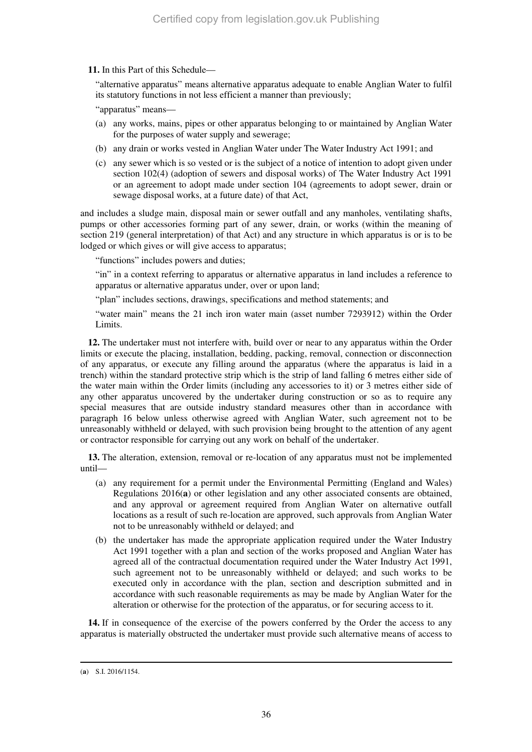**11.** In this Part of this Schedule—

"alternative apparatus" means alternative apparatus adequate to enable Anglian Water to fulfil its statutory functions in not less efficient a manner than previously;

"apparatus" means—

- (a) any works, mains, pipes or other apparatus belonging to or maintained by Anglian Water for the purposes of water supply and sewerage;
- (b) any drain or works vested in Anglian Water under The Water Industry Act 1991; and
- (c) any sewer which is so vested or is the subject of a notice of intention to adopt given under section 102(4) (adoption of sewers and disposal works) of The Water Industry Act 1991 or an agreement to adopt made under section 104 (agreements to adopt sewer, drain or sewage disposal works, at a future date) of that Act,

and includes a sludge main, disposal main or sewer outfall and any manholes, ventilating shafts, pumps or other accessories forming part of any sewer, drain, or works (within the meaning of section 219 (general interpretation) of that Act) and any structure in which apparatus is or is to be lodged or which gives or will give access to apparatus;

"functions" includes powers and duties;

"in" in a context referring to apparatus or alternative apparatus in land includes a reference to apparatus or alternative apparatus under, over or upon land;

"plan" includes sections, drawings, specifications and method statements; and

"water main" means the 21 inch iron water main (asset number 7293912) within the Order Limits.

**12.** The undertaker must not interfere with, build over or near to any apparatus within the Order limits or execute the placing, installation, bedding, packing, removal, connection or disconnection of any apparatus, or execute any filling around the apparatus (where the apparatus is laid in a trench) within the standard protective strip which is the strip of land falling 6 metres either side of the water main within the Order limits (including any accessories to it) or 3 metres either side of any other apparatus uncovered by the undertaker during construction or so as to require any special measures that are outside industry standard measures other than in accordance with paragraph 16 below unless otherwise agreed with Anglian Water, such agreement not to be unreasonably withheld or delayed, with such provision being brought to the attention of any agent or contractor responsible for carrying out any work on behalf of the undertaker.

**13.** The alteration, extension, removal or re-location of any apparatus must not be implemented until—

- (a) any requirement for a permit under the Environmental Permitting (England and Wales) Regulations 2016(**a**) or other legislation and any other associated consents are obtained, and any approval or agreement required from Anglian Water on alternative outfall locations as a result of such re-location are approved, such approvals from Anglian Water not to be unreasonably withheld or delayed; and
- (b) the undertaker has made the appropriate application required under the Water Industry Act 1991 together with a plan and section of the works proposed and Anglian Water has agreed all of the contractual documentation required under the Water Industry Act 1991, such agreement not to be unreasonably withheld or delayed; and such works to be executed only in accordance with the plan, section and description submitted and in accordance with such reasonable requirements as may be made by Anglian Water for the alteration or otherwise for the protection of the apparatus, or for securing access to it.

**14.** If in consequence of the exercise of the powers conferred by the Order the access to any apparatus is materially obstructed the undertaker must provide such alternative means of access to

<sup>-</sup>(**a**) S.I. 2016/1154.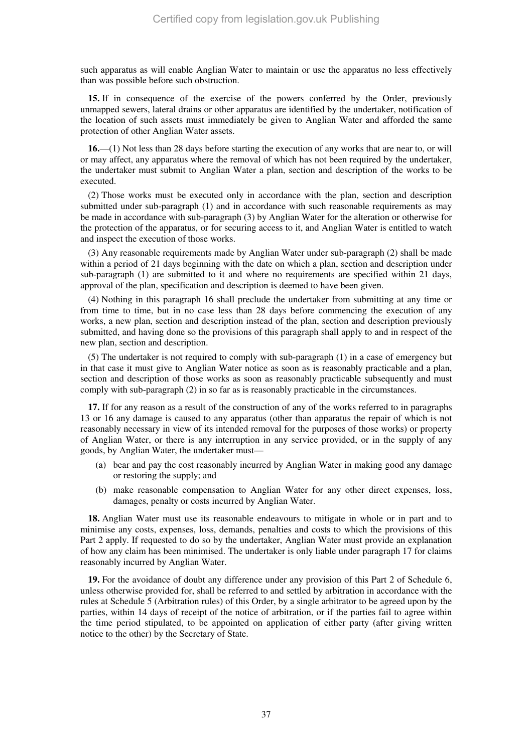such apparatus as will enable Anglian Water to maintain or use the apparatus no less effectively than was possible before such obstruction.

**15.** If in consequence of the exercise of the powers conferred by the Order, previously unmapped sewers, lateral drains or other apparatus are identified by the undertaker, notification of the location of such assets must immediately be given to Anglian Water and afforded the same protection of other Anglian Water assets.

**16.**—(1) Not less than 28 days before starting the execution of any works that are near to, or will or may affect, any apparatus where the removal of which has not been required by the undertaker, the undertaker must submit to Anglian Water a plan, section and description of the works to be executed.

(2) Those works must be executed only in accordance with the plan, section and description submitted under sub-paragraph (1) and in accordance with such reasonable requirements as may be made in accordance with sub-paragraph (3) by Anglian Water for the alteration or otherwise for the protection of the apparatus, or for securing access to it, and Anglian Water is entitled to watch and inspect the execution of those works.

(3) Any reasonable requirements made by Anglian Water under sub-paragraph (2) shall be made within a period of 21 days beginning with the date on which a plan, section and description under sub-paragraph (1) are submitted to it and where no requirements are specified within 21 days, approval of the plan, specification and description is deemed to have been given.

(4) Nothing in this paragraph 16 shall preclude the undertaker from submitting at any time or from time to time, but in no case less than 28 days before commencing the execution of any works, a new plan, section and description instead of the plan, section and description previously submitted, and having done so the provisions of this paragraph shall apply to and in respect of the new plan, section and description.

(5) The undertaker is not required to comply with sub-paragraph (1) in a case of emergency but in that case it must give to Anglian Water notice as soon as is reasonably practicable and a plan, section and description of those works as soon as reasonably practicable subsequently and must comply with sub-paragraph (2) in so far as is reasonably practicable in the circumstances.

**17.** If for any reason as a result of the construction of any of the works referred to in paragraphs 13 or 16 any damage is caused to any apparatus (other than apparatus the repair of which is not reasonably necessary in view of its intended removal for the purposes of those works) or property of Anglian Water, or there is any interruption in any service provided, or in the supply of any goods, by Anglian Water, the undertaker must—

- (a) bear and pay the cost reasonably incurred by Anglian Water in making good any damage or restoring the supply; and
- (b) make reasonable compensation to Anglian Water for any other direct expenses, loss, damages, penalty or costs incurred by Anglian Water.

**18.** Anglian Water must use its reasonable endeavours to mitigate in whole or in part and to minimise any costs, expenses, loss, demands, penalties and costs to which the provisions of this Part 2 apply. If requested to do so by the undertaker, Anglian Water must provide an explanation of how any claim has been minimised. The undertaker is only liable under paragraph 17 for claims reasonably incurred by Anglian Water.

**19.** For the avoidance of doubt any difference under any provision of this Part 2 of Schedule 6, unless otherwise provided for, shall be referred to and settled by arbitration in accordance with the rules at Schedule 5 (Arbitration rules) of this Order, by a single arbitrator to be agreed upon by the parties, within 14 days of receipt of the notice of arbitration, or if the parties fail to agree within the time period stipulated, to be appointed on application of either party (after giving written notice to the other) by the Secretary of State.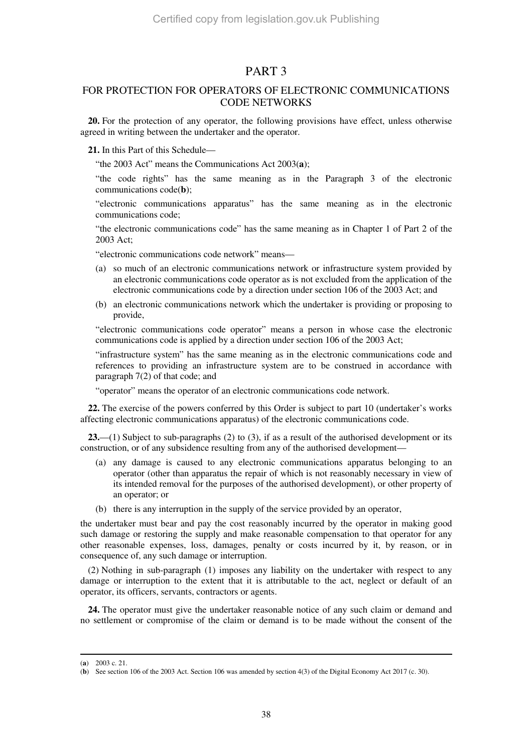### PART 3

### FOR PROTECTION FOR OPERATORS OF ELECTRONIC COMMUNICATIONS CODE NETWORKS

**20.** For the protection of any operator, the following provisions have effect, unless otherwise agreed in writing between the undertaker and the operator.

**21.** In this Part of this Schedule—

"the 2003 Act" means the Communications Act 2003(**a**);

"the code rights" has the same meaning as in the Paragraph 3 of the electronic communications code(**b**);

"electronic communications apparatus" has the same meaning as in the electronic communications code;

"the electronic communications code" has the same meaning as in Chapter 1 of Part 2 of the 2003 Act;

"electronic communications code network" means—

- (a) so much of an electronic communications network or infrastructure system provided by an electronic communications code operator as is not excluded from the application of the electronic communications code by a direction under section 106 of the 2003 Act; and
- (b) an electronic communications network which the undertaker is providing or proposing to provide,

"electronic communications code operator" means a person in whose case the electronic communications code is applied by a direction under section 106 of the 2003 Act;

"infrastructure system" has the same meaning as in the electronic communications code and references to providing an infrastructure system are to be construed in accordance with paragraph 7(2) of that code; and

"operator" means the operator of an electronic communications code network.

**22.** The exercise of the powers conferred by this Order is subject to part 10 (undertaker's works affecting electronic communications apparatus) of the electronic communications code.

23.—(1) Subject to sub-paragraphs (2) to (3), if as a result of the authorised development or its construction, or of any subsidence resulting from any of the authorised development—

- (a) any damage is caused to any electronic communications apparatus belonging to an operator (other than apparatus the repair of which is not reasonably necessary in view of its intended removal for the purposes of the authorised development), or other property of an operator; or
- (b) there is any interruption in the supply of the service provided by an operator,

the undertaker must bear and pay the cost reasonably incurred by the operator in making good such damage or restoring the supply and make reasonable compensation to that operator for any other reasonable expenses, loss, damages, penalty or costs incurred by it, by reason, or in consequence of, any such damage or interruption.

(2) Nothing in sub-paragraph (1) imposes any liability on the undertaker with respect to any damage or interruption to the extent that it is attributable to the act, neglect or default of an operator, its officers, servants, contractors or agents.

**24.** The operator must give the undertaker reasonable notice of any such claim or demand and no settlement or compromise of the claim or demand is to be made without the consent of the

<sup>(</sup>**a**) 2003 c. 21.

<sup>(</sup>**b**) See section 106 of the 2003 Act. Section 106 was amended by section 4(3) of the Digital Economy Act 2017 (c. 30).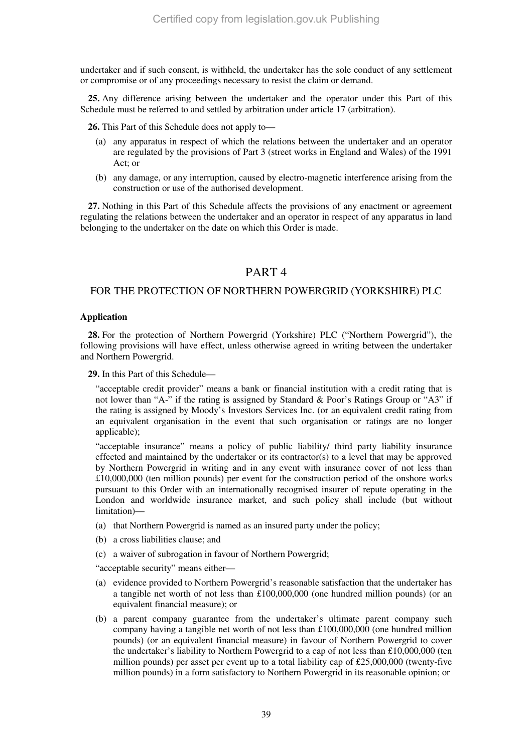undertaker and if such consent, is withheld, the undertaker has the sole conduct of any settlement or compromise or of any proceedings necessary to resist the claim or demand.

**25.** Any difference arising between the undertaker and the operator under this Part of this Schedule must be referred to and settled by arbitration under article 17 (arbitration).

**26.** This Part of this Schedule does not apply to—

- (a) any apparatus in respect of which the relations between the undertaker and an operator are regulated by the provisions of Part 3 (street works in England and Wales) of the 1991 Act; or
- (b) any damage, or any interruption, caused by electro-magnetic interference arising from the construction or use of the authorised development.

**27.** Nothing in this Part of this Schedule affects the provisions of any enactment or agreement regulating the relations between the undertaker and an operator in respect of any apparatus in land belonging to the undertaker on the date on which this Order is made.

### PART 4

#### FOR THE PROTECTION OF NORTHERN POWERGRID (YORKSHIRE) PLC

#### **Application**

**28.** For the protection of Northern Powergrid (Yorkshire) PLC ("Northern Powergrid"), the following provisions will have effect, unless otherwise agreed in writing between the undertaker and Northern Powergrid.

**29.** In this Part of this Schedule—

"acceptable credit provider" means a bank or financial institution with a credit rating that is not lower than "A-" if the rating is assigned by Standard & Poor's Ratings Group or "A3" if the rating is assigned by Moody's Investors Services Inc. (or an equivalent credit rating from an equivalent organisation in the event that such organisation or ratings are no longer applicable);

"acceptable insurance" means a policy of public liability/ third party liability insurance effected and maintained by the undertaker or its contractor(s) to a level that may be approved by Northern Powergrid in writing and in any event with insurance cover of not less than £10,000,000 (ten million pounds) per event for the construction period of the onshore works pursuant to this Order with an internationally recognised insurer of repute operating in the London and worldwide insurance market, and such policy shall include (but without limitation)—

- (a) that Northern Powergrid is named as an insured party under the policy;
- (b) a cross liabilities clause; and
- (c) a waiver of subrogation in favour of Northern Powergrid;

"acceptable security" means either—

- (a) evidence provided to Northern Powergrid's reasonable satisfaction that the undertaker has a tangible net worth of not less than £100,000,000 (one hundred million pounds) (or an equivalent financial measure); or
- (b) a parent company guarantee from the undertaker's ultimate parent company such company having a tangible net worth of not less than £100,000,000 (one hundred million pounds) (or an equivalent financial measure) in favour of Northern Powergrid to cover the undertaker's liability to Northern Powergrid to a cap of not less than £10,000,000 (ten million pounds) per asset per event up to a total liability cap of £25,000,000 (twenty-five million pounds) in a form satisfactory to Northern Powergrid in its reasonable opinion; or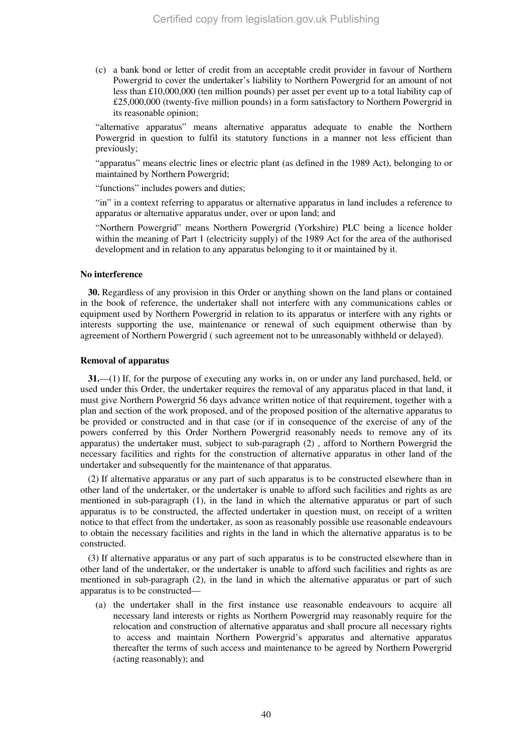(c) a bank bond or letter of credit from an acceptable credit provider in favour of Northern Powergrid to cover the undertaker's liability to Northern Powergrid for an amount of not less than £10,000,000 (ten million pounds) per asset per event up to a total liability cap of £25,000,000 (twenty-five million pounds) in a form satisfactory to Northern Powergrid in its reasonable opinion;

"alternative apparatus" means alternative apparatus adequate to enable the Northern Powergrid in question to fulfil its statutory functions in a manner not less efficient than previously;

"apparatus" means electric lines or electric plant (as defined in the 1989 Act), belonging to or maintained by Northern Powergrid;

"functions" includes powers and duties;

"in" in a context referring to apparatus or alternative apparatus in land includes a reference to apparatus or alternative apparatus under, over or upon land; and

"Northern Powergrid" means Northern Powergrid (Yorkshire) PLC being a licence holder within the meaning of Part 1 (electricity supply) of the 1989 Act for the area of the authorised development and in relation to any apparatus belonging to it or maintained by it.

#### **No interference**

**30.** Regardless of any provision in this Order or anything shown on the land plans or contained in the book of reference, the undertaker shall not interfere with any communications cables or equipment used by Northern Powergrid in relation to its apparatus or interfere with any rights or interests supporting the use, maintenance or renewal of such equipment otherwise than by agreement of Northern Powergrid ( such agreement not to be unreasonably withheld or delayed).

#### **Removal of apparatus**

**31.**—(1) If, for the purpose of executing any works in, on or under any land purchased, held, or used under this Order, the undertaker requires the removal of any apparatus placed in that land, it must give Northern Powergrid 56 days advance written notice of that requirement, together with a plan and section of the work proposed, and of the proposed position of the alternative apparatus to be provided or constructed and in that case (or if in consequence of the exercise of any of the powers conferred by this Order Northern Powergrid reasonably needs to remove any of its apparatus) the undertaker must, subject to sub-paragraph (2) , afford to Northern Powergrid the necessary facilities and rights for the construction of alternative apparatus in other land of the undertaker and subsequently for the maintenance of that apparatus.

(2) If alternative apparatus or any part of such apparatus is to be constructed elsewhere than in other land of the undertaker, or the undertaker is unable to afford such facilities and rights as are mentioned in sub-paragraph (1), in the land in which the alternative apparatus or part of such apparatus is to be constructed, the affected undertaker in question must, on receipt of a written notice to that effect from the undertaker, as soon as reasonably possible use reasonable endeavours to obtain the necessary facilities and rights in the land in which the alternative apparatus is to be constructed.

(3) If alternative apparatus or any part of such apparatus is to be constructed elsewhere than in other land of the undertaker, or the undertaker is unable to afford such facilities and rights as are mentioned in sub-paragraph (2), in the land in which the alternative apparatus or part of such apparatus is to be constructed—

(a) the undertaker shall in the first instance use reasonable endeavours to acquire all necessary land interests or rights as Northern Powergrid may reasonably require for the relocation and construction of alternative apparatus and shall procure all necessary rights to access and maintain Northern Powergrid's apparatus and alternative apparatus thereafter the terms of such access and maintenance to be agreed by Northern Powergrid (acting reasonably); and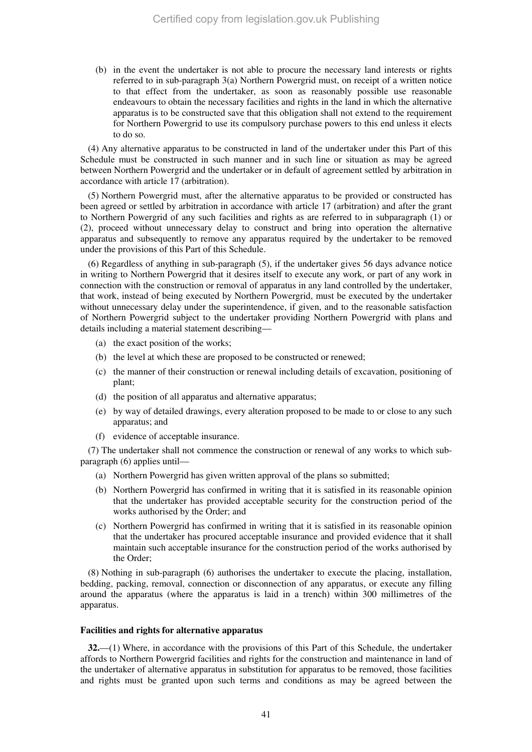(b) in the event the undertaker is not able to procure the necessary land interests or rights referred to in sub-paragraph 3(a) Northern Powergrid must, on receipt of a written notice to that effect from the undertaker, as soon as reasonably possible use reasonable endeavours to obtain the necessary facilities and rights in the land in which the alternative apparatus is to be constructed save that this obligation shall not extend to the requirement for Northern Powergrid to use its compulsory purchase powers to this end unless it elects to do so.

(4) Any alternative apparatus to be constructed in land of the undertaker under this Part of this Schedule must be constructed in such manner and in such line or situation as may be agreed between Northern Powergrid and the undertaker or in default of agreement settled by arbitration in accordance with article 17 (arbitration).

(5) Northern Powergrid must, after the alternative apparatus to be provided or constructed has been agreed or settled by arbitration in accordance with article 17 (arbitration) and after the grant to Northern Powergrid of any such facilities and rights as are referred to in subparagraph (1) or (2), proceed without unnecessary delay to construct and bring into operation the alternative apparatus and subsequently to remove any apparatus required by the undertaker to be removed under the provisions of this Part of this Schedule.

(6) Regardless of anything in sub-paragraph (5), if the undertaker gives 56 days advance notice in writing to Northern Powergrid that it desires itself to execute any work, or part of any work in connection with the construction or removal of apparatus in any land controlled by the undertaker, that work, instead of being executed by Northern Powergrid, must be executed by the undertaker without unnecessary delay under the superintendence, if given, and to the reasonable satisfaction of Northern Powergrid subject to the undertaker providing Northern Powergrid with plans and details including a material statement describing—

- (a) the exact position of the works;
- (b) the level at which these are proposed to be constructed or renewed;
- (c) the manner of their construction or renewal including details of excavation, positioning of plant;
- (d) the position of all apparatus and alternative apparatus;
- (e) by way of detailed drawings, every alteration proposed to be made to or close to any such apparatus; and
- (f) evidence of acceptable insurance.

(7) The undertaker shall not commence the construction or renewal of any works to which subparagraph (6) applies until—

- (a) Northern Powergrid has given written approval of the plans so submitted;
- (b) Northern Powergrid has confirmed in writing that it is satisfied in its reasonable opinion that the undertaker has provided acceptable security for the construction period of the works authorised by the Order; and
- (c) Northern Powergrid has confirmed in writing that it is satisfied in its reasonable opinion that the undertaker has procured acceptable insurance and provided evidence that it shall maintain such acceptable insurance for the construction period of the works authorised by the Order;

(8) Nothing in sub-paragraph (6) authorises the undertaker to execute the placing, installation, bedding, packing, removal, connection or disconnection of any apparatus, or execute any filling around the apparatus (where the apparatus is laid in a trench) within 300 millimetres of the apparatus.

#### **Facilities and rights for alternative apparatus**

**32.**—(1) Where, in accordance with the provisions of this Part of this Schedule, the undertaker affords to Northern Powergrid facilities and rights for the construction and maintenance in land of the undertaker of alternative apparatus in substitution for apparatus to be removed, those facilities and rights must be granted upon such terms and conditions as may be agreed between the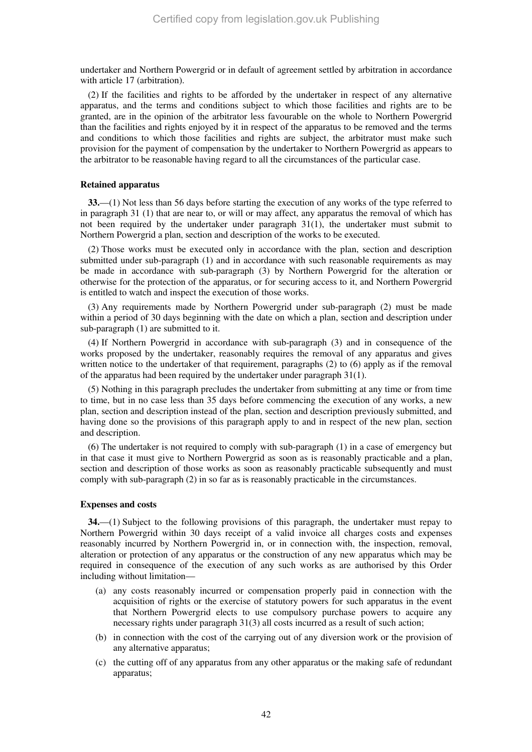undertaker and Northern Powergrid or in default of agreement settled by arbitration in accordance with article 17 (arbitration).

(2) If the facilities and rights to be afforded by the undertaker in respect of any alternative apparatus, and the terms and conditions subject to which those facilities and rights are to be granted, are in the opinion of the arbitrator less favourable on the whole to Northern Powergrid than the facilities and rights enjoyed by it in respect of the apparatus to be removed and the terms and conditions to which those facilities and rights are subject, the arbitrator must make such provision for the payment of compensation by the undertaker to Northern Powergrid as appears to the arbitrator to be reasonable having regard to all the circumstances of the particular case.

#### **Retained apparatus**

**33.**—(1) Not less than 56 days before starting the execution of any works of the type referred to in paragraph 31 (1) that are near to, or will or may affect, any apparatus the removal of which has not been required by the undertaker under paragraph 31(1), the undertaker must submit to Northern Powergrid a plan, section and description of the works to be executed.

(2) Those works must be executed only in accordance with the plan, section and description submitted under sub-paragraph (1) and in accordance with such reasonable requirements as may be made in accordance with sub-paragraph (3) by Northern Powergrid for the alteration or otherwise for the protection of the apparatus, or for securing access to it, and Northern Powergrid is entitled to watch and inspect the execution of those works.

(3) Any requirements made by Northern Powergrid under sub-paragraph (2) must be made within a period of 30 days beginning with the date on which a plan, section and description under sub-paragraph (1) are submitted to it.

(4) If Northern Powergrid in accordance with sub-paragraph (3) and in consequence of the works proposed by the undertaker, reasonably requires the removal of any apparatus and gives written notice to the undertaker of that requirement, paragraphs (2) to (6) apply as if the removal of the apparatus had been required by the undertaker under paragraph 31(1).

(5) Nothing in this paragraph precludes the undertaker from submitting at any time or from time to time, but in no case less than 35 days before commencing the execution of any works, a new plan, section and description instead of the plan, section and description previously submitted, and having done so the provisions of this paragraph apply to and in respect of the new plan, section and description.

(6) The undertaker is not required to comply with sub-paragraph (1) in a case of emergency but in that case it must give to Northern Powergrid as soon as is reasonably practicable and a plan, section and description of those works as soon as reasonably practicable subsequently and must comply with sub-paragraph (2) in so far as is reasonably practicable in the circumstances.

#### **Expenses and costs**

**34.**—(1) Subject to the following provisions of this paragraph, the undertaker must repay to Northern Powergrid within 30 days receipt of a valid invoice all charges costs and expenses reasonably incurred by Northern Powergrid in, or in connection with, the inspection, removal, alteration or protection of any apparatus or the construction of any new apparatus which may be required in consequence of the execution of any such works as are authorised by this Order including without limitation—

- (a) any costs reasonably incurred or compensation properly paid in connection with the acquisition of rights or the exercise of statutory powers for such apparatus in the event that Northern Powergrid elects to use compulsory purchase powers to acquire any necessary rights under paragraph 31(3) all costs incurred as a result of such action;
- (b) in connection with the cost of the carrying out of any diversion work or the provision of any alternative apparatus;
- (c) the cutting off of any apparatus from any other apparatus or the making safe of redundant apparatus;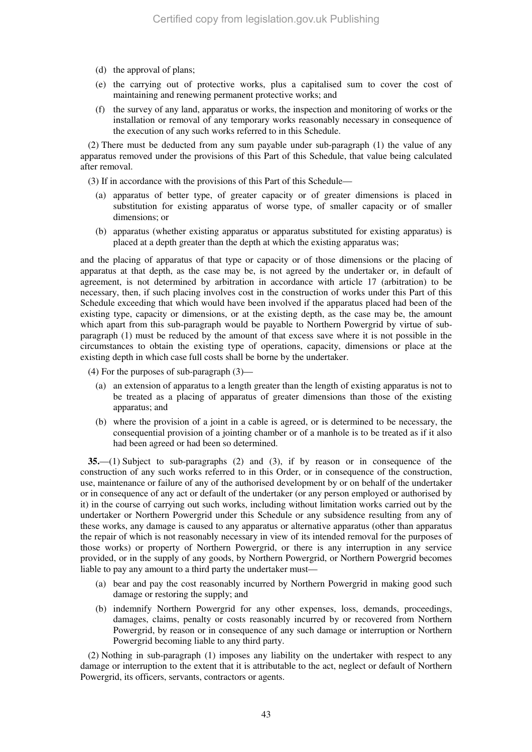- (d) the approval of plans;
- (e) the carrying out of protective works, plus a capitalised sum to cover the cost of maintaining and renewing permanent protective works; and
- (f) the survey of any land, apparatus or works, the inspection and monitoring of works or the installation or removal of any temporary works reasonably necessary in consequence of the execution of any such works referred to in this Schedule.

(2) There must be deducted from any sum payable under sub-paragraph (1) the value of any apparatus removed under the provisions of this Part of this Schedule, that value being calculated after removal.

(3) If in accordance with the provisions of this Part of this Schedule—

- (a) apparatus of better type, of greater capacity or of greater dimensions is placed in substitution for existing apparatus of worse type, of smaller capacity or of smaller dimensions; or
- (b) apparatus (whether existing apparatus or apparatus substituted for existing apparatus) is placed at a depth greater than the depth at which the existing apparatus was;

and the placing of apparatus of that type or capacity or of those dimensions or the placing of apparatus at that depth, as the case may be, is not agreed by the undertaker or, in default of agreement, is not determined by arbitration in accordance with article 17 (arbitration) to be necessary, then, if such placing involves cost in the construction of works under this Part of this Schedule exceeding that which would have been involved if the apparatus placed had been of the existing type, capacity or dimensions, or at the existing depth, as the case may be, the amount which apart from this sub-paragraph would be payable to Northern Powergrid by virtue of subparagraph (1) must be reduced by the amount of that excess save where it is not possible in the circumstances to obtain the existing type of operations, capacity, dimensions or place at the existing depth in which case full costs shall be borne by the undertaker.

(4) For the purposes of sub-paragraph (3)—

- (a) an extension of apparatus to a length greater than the length of existing apparatus is not to be treated as a placing of apparatus of greater dimensions than those of the existing apparatus; and
- (b) where the provision of a joint in a cable is agreed, or is determined to be necessary, the consequential provision of a jointing chamber or of a manhole is to be treated as if it also had been agreed or had been so determined.

**35.**—(1) Subject to sub-paragraphs (2) and (3), if by reason or in consequence of the construction of any such works referred to in this Order, or in consequence of the construction, use, maintenance or failure of any of the authorised development by or on behalf of the undertaker or in consequence of any act or default of the undertaker (or any person employed or authorised by it) in the course of carrying out such works, including without limitation works carried out by the undertaker or Northern Powergrid under this Schedule or any subsidence resulting from any of these works, any damage is caused to any apparatus or alternative apparatus (other than apparatus the repair of which is not reasonably necessary in view of its intended removal for the purposes of those works) or property of Northern Powergrid, or there is any interruption in any service provided, or in the supply of any goods, by Northern Powergrid, or Northern Powergrid becomes liable to pay any amount to a third party the undertaker must—

- (a) bear and pay the cost reasonably incurred by Northern Powergrid in making good such damage or restoring the supply; and
- (b) indemnify Northern Powergrid for any other expenses, loss, demands, proceedings, damages, claims, penalty or costs reasonably incurred by or recovered from Northern Powergrid, by reason or in consequence of any such damage or interruption or Northern Powergrid becoming liable to any third party.

(2) Nothing in sub-paragraph (1) imposes any liability on the undertaker with respect to any damage or interruption to the extent that it is attributable to the act, neglect or default of Northern Powergrid, its officers, servants, contractors or agents.